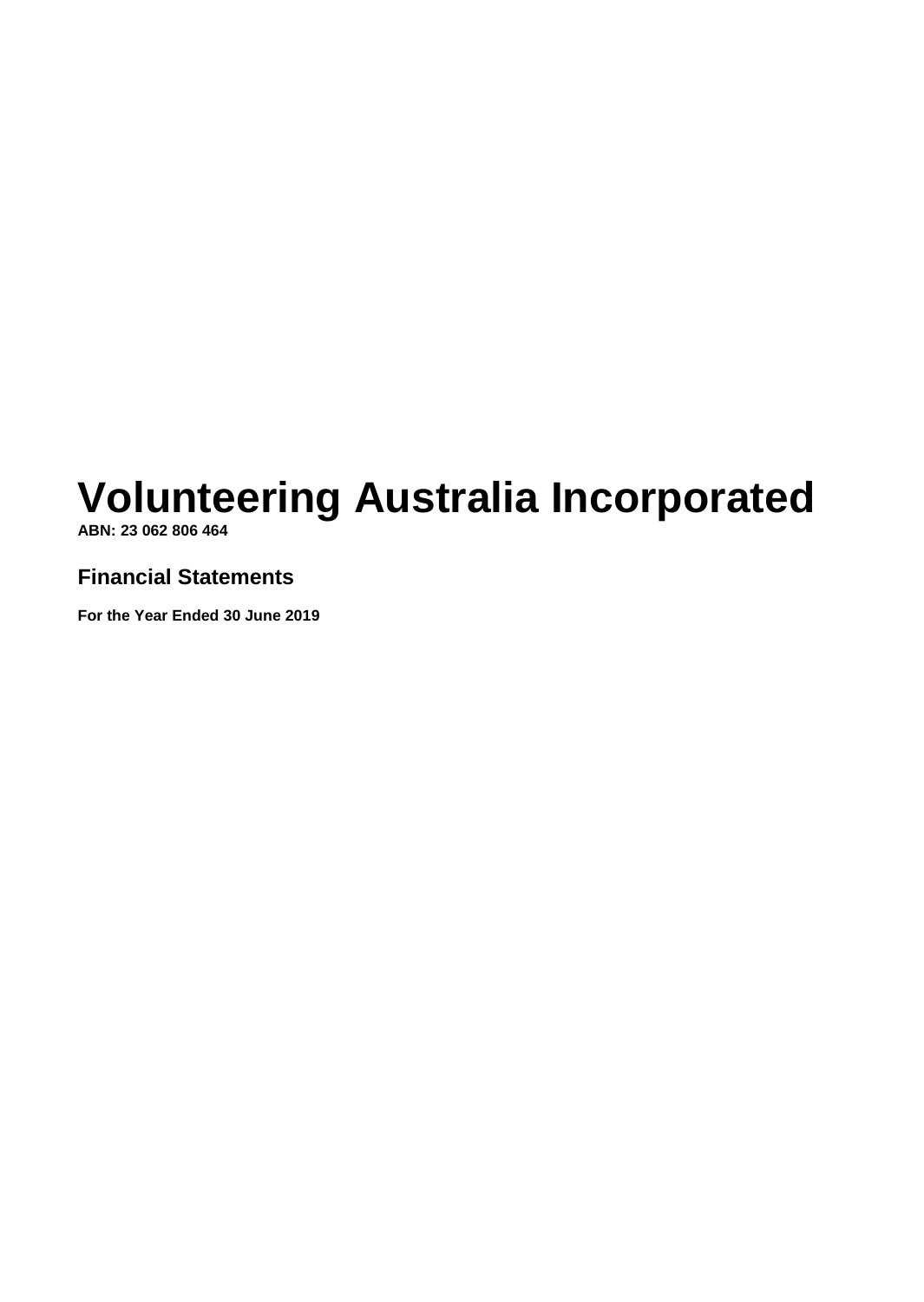**ABN: 23 062 806 464**

# **Financial Statements**

**For the Year Ended 30 June 2019**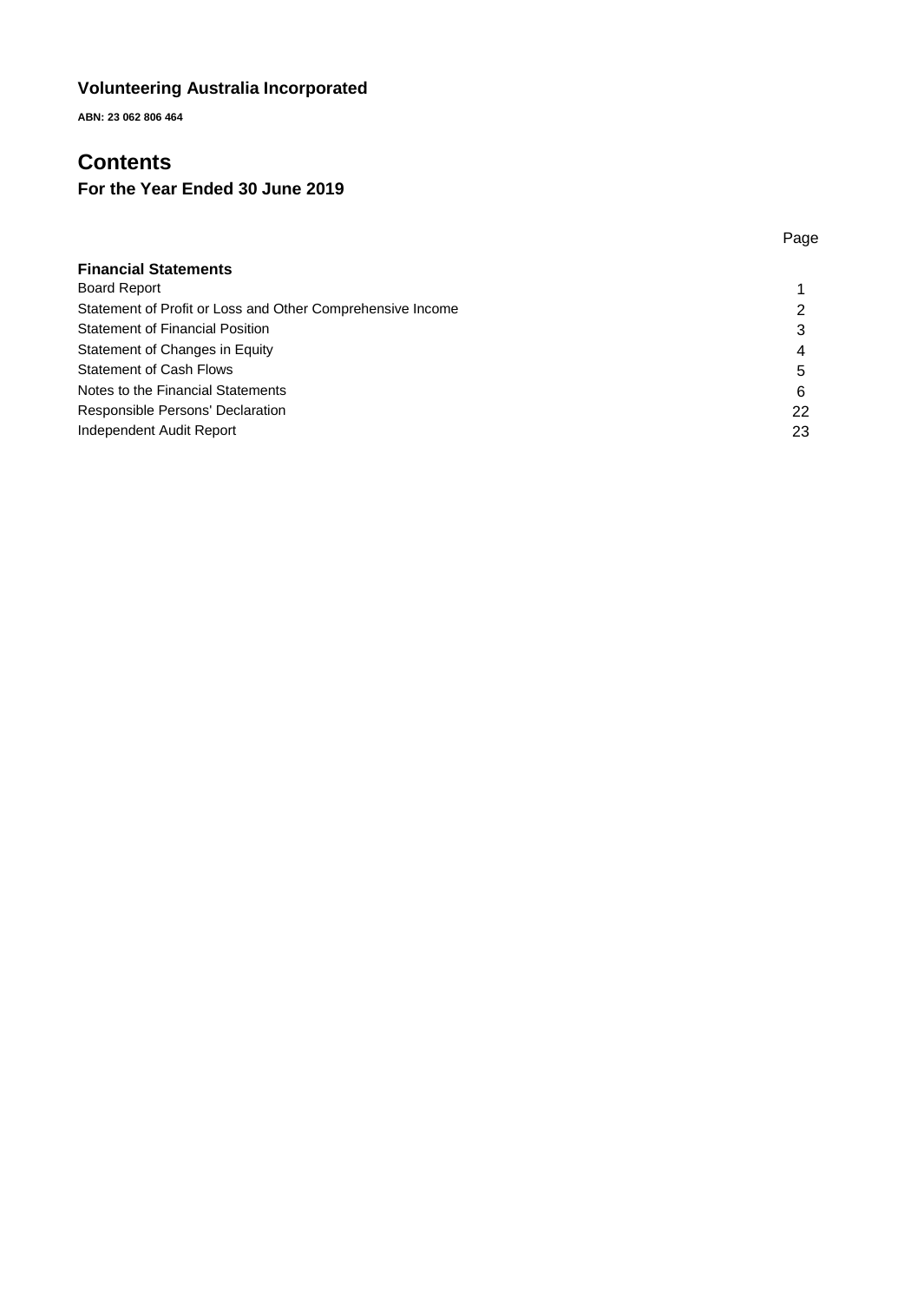**ABN: 23 062 806 464**

# **Contents**

# **For the Year Ended 30 June 2019**

|                                                            | Page |
|------------------------------------------------------------|------|
| <b>Financial Statements</b>                                |      |
| <b>Board Report</b>                                        |      |
| Statement of Profit or Loss and Other Comprehensive Income |      |
| <b>Statement of Financial Position</b>                     | 3    |
| Statement of Changes in Equity                             | 4    |
| <b>Statement of Cash Flows</b>                             | 5    |
| Notes to the Financial Statements                          | 6    |
| Responsible Persons' Declaration                           | 22   |
| Independent Audit Report                                   | 23   |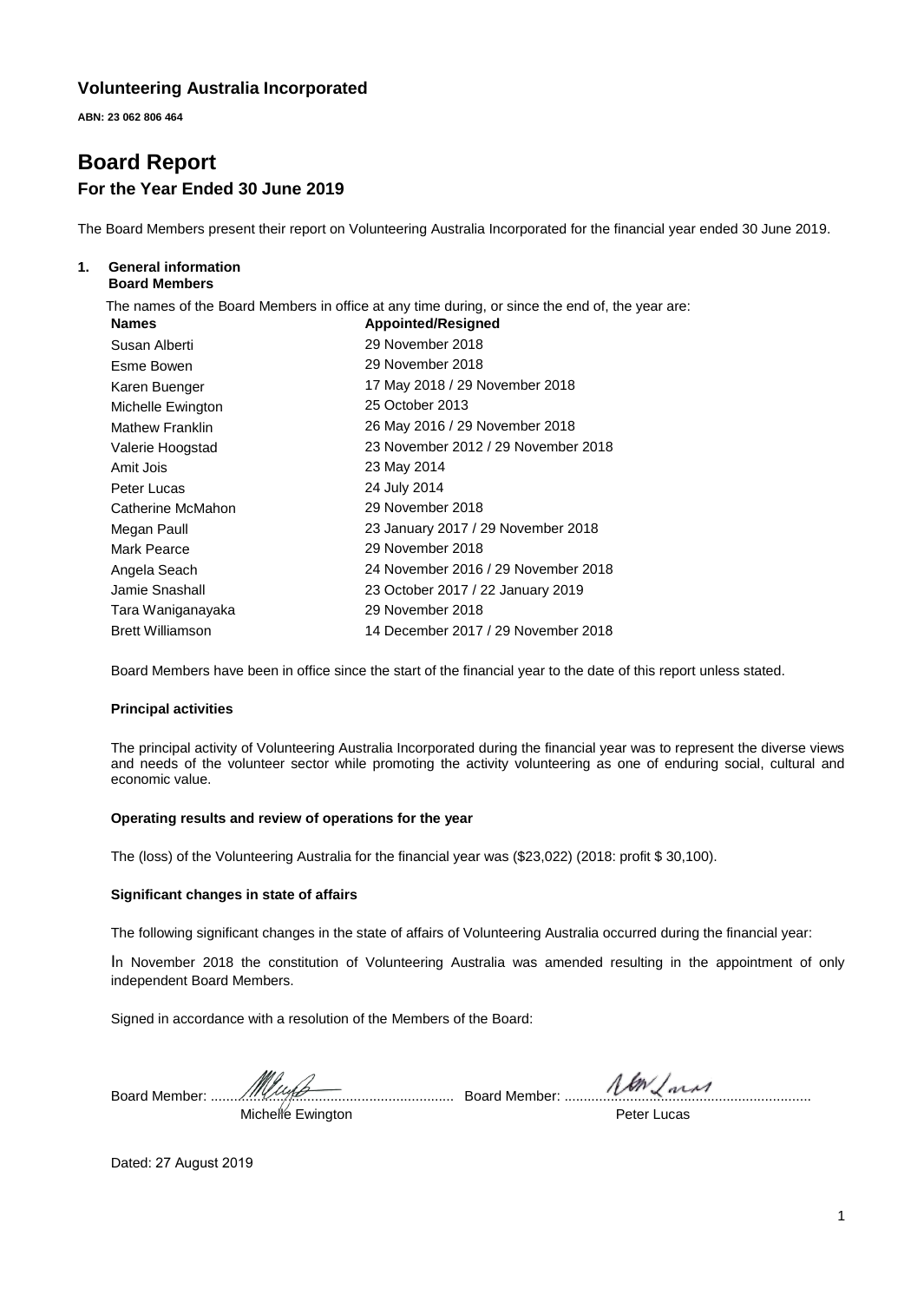**ABN: 23 062 806 464**

# **Board Report For the Year Ended 30 June 2019**

The Board Members present their report on Volunteering Australia Incorporated for the financial year ended 30 June 2019.

#### **1. General information Board Members**

The names of the Board Members in office at any time during, or since the end of, the year are:

| <b>Names</b>            | <b>Appointed/Resigned</b>           |
|-------------------------|-------------------------------------|
| Susan Alberti           | 29 November 2018                    |
| Esme Bowen              | 29 November 2018                    |
| Karen Buenger           | 17 May 2018 / 29 November 2018      |
| Michelle Ewington       | 25 October 2013                     |
| <b>Mathew Franklin</b>  | 26 May 2016 / 29 November 2018      |
| Valerie Hoogstad        | 23 November 2012 / 29 November 2018 |
| Amit Jois               | 23 May 2014                         |
| Peter Lucas             | 24 July 2014                        |
| Catherine McMahon       | 29 November 2018                    |
| Megan Paull             | 23 January 2017 / 29 November 2018  |
| Mark Pearce             | 29 November 2018                    |
| Angela Seach            | 24 November 2016 / 29 November 2018 |
| Jamie Snashall          | 23 October 2017 / 22 January 2019   |
| Tara Waniganayaka       | 29 November 2018                    |
| <b>Brett Williamson</b> | 14 December 2017 / 29 November 2018 |

Board Members have been in office since the start of the financial year to the date of this report unless stated.

#### **Principal activities**

The principal activity of Volunteering Australia Incorporated during the financial year was to represent the diverse views and needs of the volunteer sector while promoting the activity volunteering as one of enduring social, cultural and economic value.

#### **Operating results and review of operations for the year**

The (loss) of the Volunteering Australia for the financial year was (\$23,022) (2018: profit \$ 30,100).

#### **Significant changes in state of affairs**

The following significant changes in the state of affairs of Volunteering Australia occurred during the financial year:

In November 2018 the constitution of Volunteering Australia was amended resulting in the appointment of only independent Board Members.

Signed in accordance with a resolution of the Members of the Board:

Board Member: ............................................................... Board Member: ................................................................

Michelle Ewington

Peter Lucas

Dated: 27 August 2019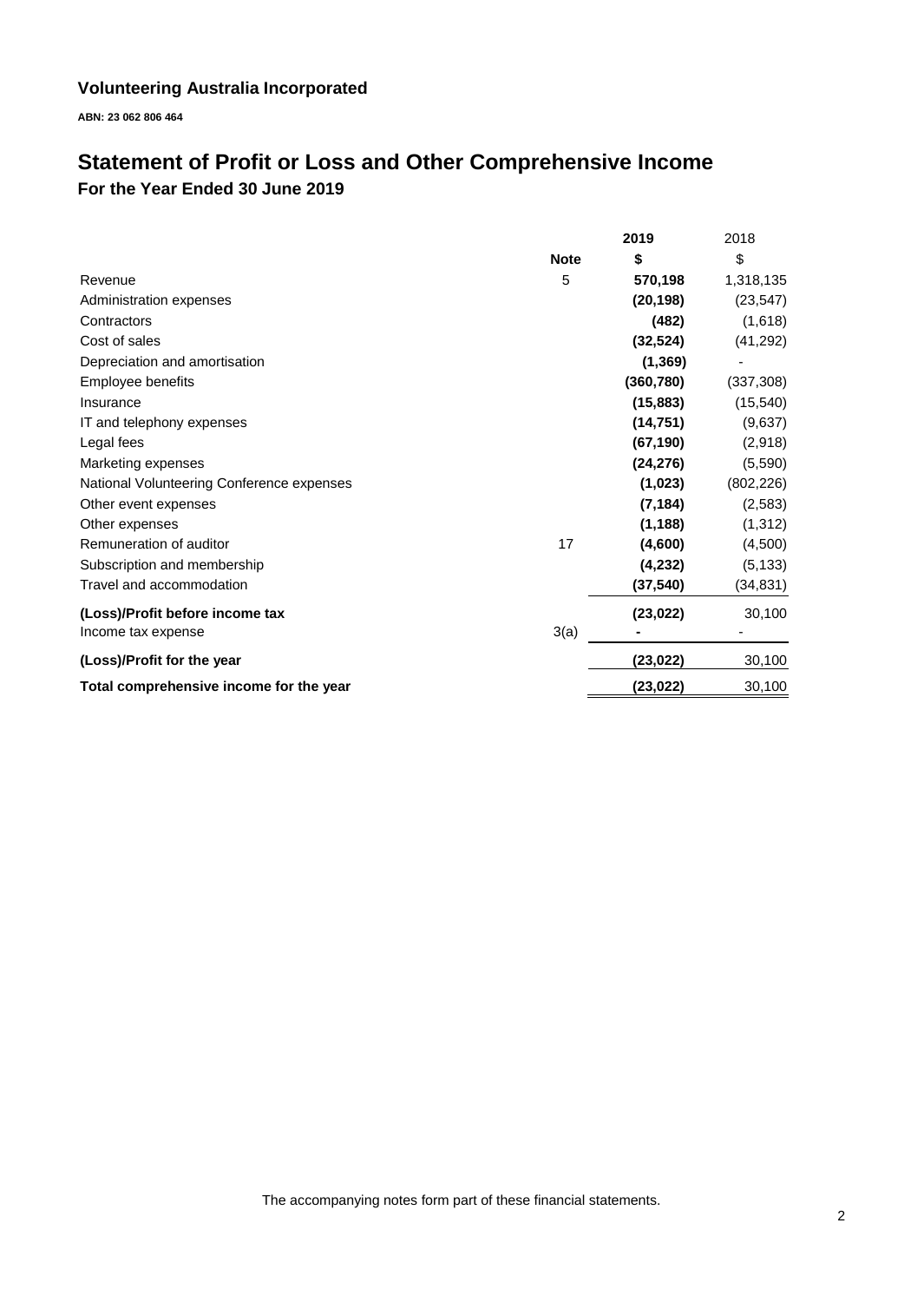**ABN: 23 062 806 464**

# **Statement of Profit or Loss and Other Comprehensive Income For the Year Ended 30 June 2019**

|                                           |             | 2019       | 2018       |
|-------------------------------------------|-------------|------------|------------|
|                                           | <b>Note</b> | \$         | \$         |
| Revenue                                   | 5           | 570,198    | 1,318,135  |
| Administration expenses                   |             | (20, 198)  | (23, 547)  |
| Contractors                               |             | (482)      | (1,618)    |
| Cost of sales                             |             | (32, 524)  | (41, 292)  |
| Depreciation and amortisation             |             | (1, 369)   |            |
| Employee benefits                         |             | (360, 780) | (337, 308) |
| Insurance                                 |             | (15, 883)  | (15, 540)  |
| IT and telephony expenses                 |             | (14, 751)  | (9,637)    |
| Legal fees                                |             | (67, 190)  | (2,918)    |
| Marketing expenses                        |             | (24, 276)  | (5,590)    |
| National Volunteering Conference expenses |             | (1,023)    | (802, 226) |
| Other event expenses                      |             | (7, 184)   | (2,583)    |
| Other expenses                            |             | (1, 188)   | (1, 312)   |
| Remuneration of auditor                   | 17          | (4,600)    | (4,500)    |
| Subscription and membership               |             | (4,232)    | (5, 133)   |
| Travel and accommodation                  |             | (37, 540)  | (34, 831)  |
| (Loss)/Profit before income tax           |             | (23, 022)  | 30,100     |
| Income tax expense                        | 3(a)        |            |            |
| (Loss)/Profit for the year                |             | (23,022)   | 30,100     |
| Total comprehensive income for the year   |             | (23, 022)  | 30,100     |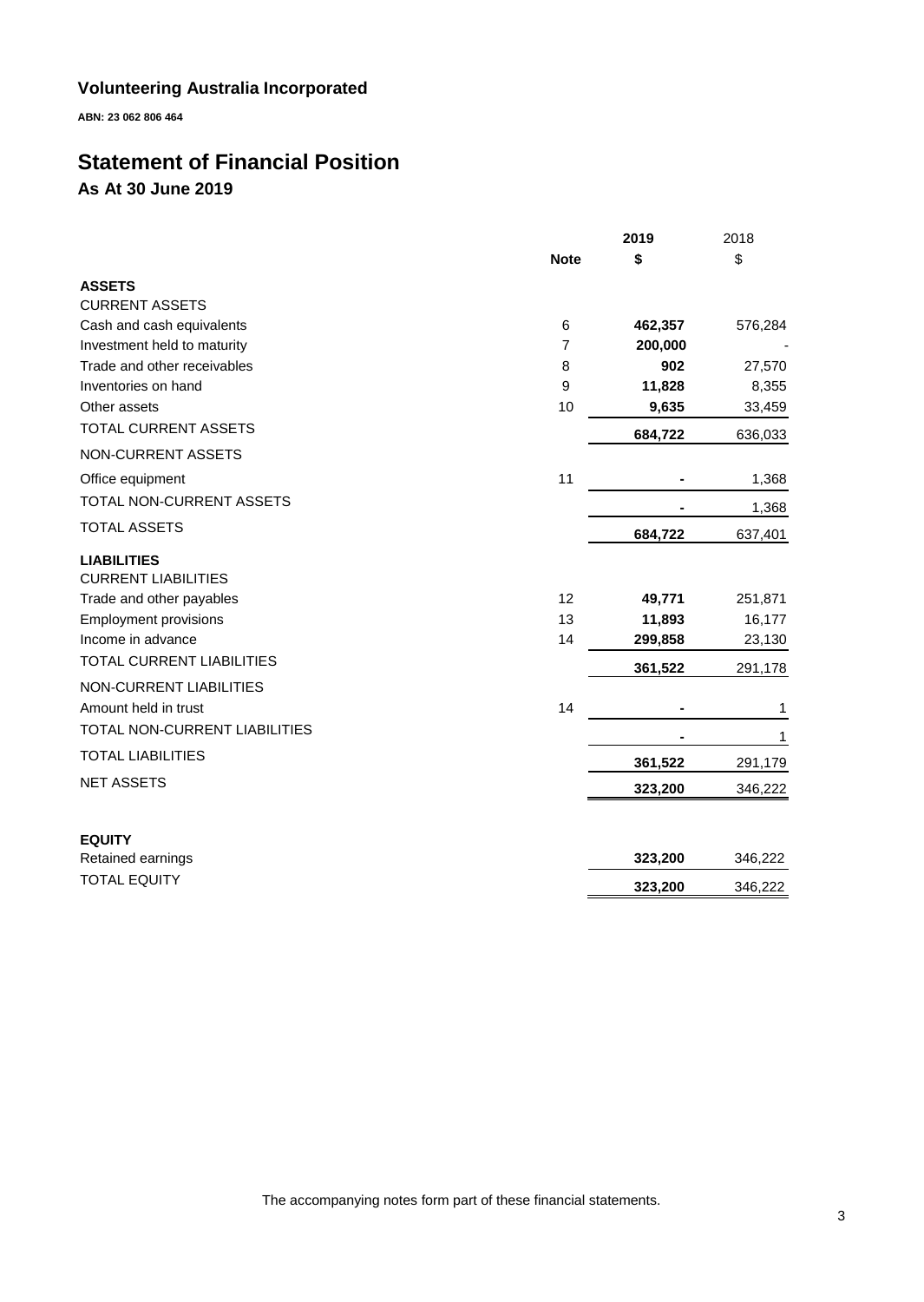**ABN: 23 062 806 464**

# **Statement of Financial Position As At 30 June 2019**

|                                                  |                | 2019    | 2018    |
|--------------------------------------------------|----------------|---------|---------|
|                                                  | <b>Note</b>    | \$      | \$      |
| <b>ASSETS</b>                                    |                |         |         |
| <b>CURRENT ASSETS</b>                            |                |         |         |
| Cash and cash equivalents                        | 6              | 462,357 | 576,284 |
| Investment held to maturity                      | $\overline{7}$ | 200,000 |         |
| Trade and other receivables                      | 8              | 902     | 27,570  |
| Inventories on hand                              | 9              | 11,828  | 8,355   |
| Other assets                                     | 10             | 9,635   | 33,459  |
| TOTAL CURRENT ASSETS                             |                | 684,722 | 636,033 |
| <b>NON-CURRENT ASSETS</b>                        |                |         |         |
| Office equipment                                 | 11             |         | 1,368   |
| TOTAL NON-CURRENT ASSETS                         |                |         | 1,368   |
| <b>TOTAL ASSETS</b>                              |                | 684,722 | 637,401 |
| <b>LIABILITIES</b><br><b>CURRENT LIABILITIES</b> |                |         |         |
| Trade and other payables                         | 12             | 49,771  | 251,871 |
| <b>Employment provisions</b>                     | 13             | 11,893  | 16,177  |
| Income in advance                                | 14             | 299,858 | 23,130  |
| TOTAL CURRENT LIABILITIES                        |                | 361,522 | 291,178 |
| <b>NON-CURRENT LIABILITIES</b>                   |                |         |         |
| Amount held in trust                             | 14             |         | 1       |
| TOTAL NON-CURRENT LIABILITIES                    |                |         | 1       |
| <b>TOTAL LIABILITIES</b>                         |                | 361,522 | 291,179 |
| <b>NET ASSETS</b>                                |                | 323,200 | 346,222 |
| <b>EQUITY</b>                                    |                |         |         |
| Retained earnings                                |                | 323,200 | 346,222 |
| <b>TOTAL EQUITY</b>                              |                | 323,200 | 346,222 |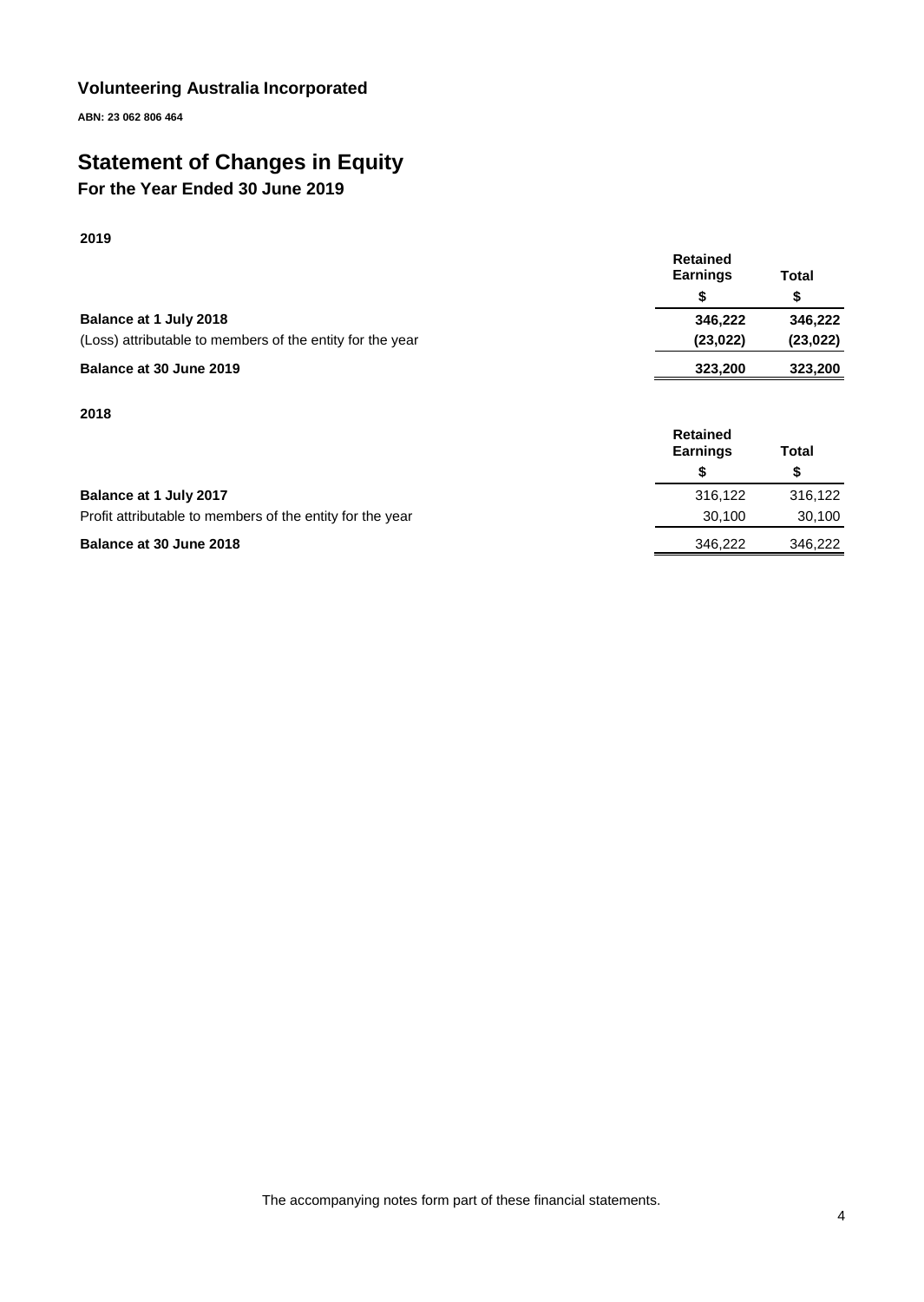**ABN: 23 062 806 464**

# **Statement of Changes in Equity**

# **For the Year Ended 30 June 2019**

### **2019**

|                                                           | <b>Retained</b> |           |
|-----------------------------------------------------------|-----------------|-----------|
|                                                           | <b>Earnings</b> | Total     |
|                                                           |                 |           |
| Balance at 1 July 2018                                    | 346.222         | 346.222   |
| (Loss) attributable to members of the entity for the year | (23, 022)       | (23, 022) |
| Balance at 30 June 2019                                   | 323,200         | 323,200   |

#### **2018**

|                                                           | <b>Retained</b><br><b>Earnings</b> | Total   |
|-----------------------------------------------------------|------------------------------------|---------|
|                                                           |                                    |         |
| Balance at 1 July 2017                                    | 316.122                            | 316,122 |
| Profit attributable to members of the entity for the year | 30.100                             | 30,100  |
| Balance at 30 June 2018                                   | 346.222                            | 346.222 |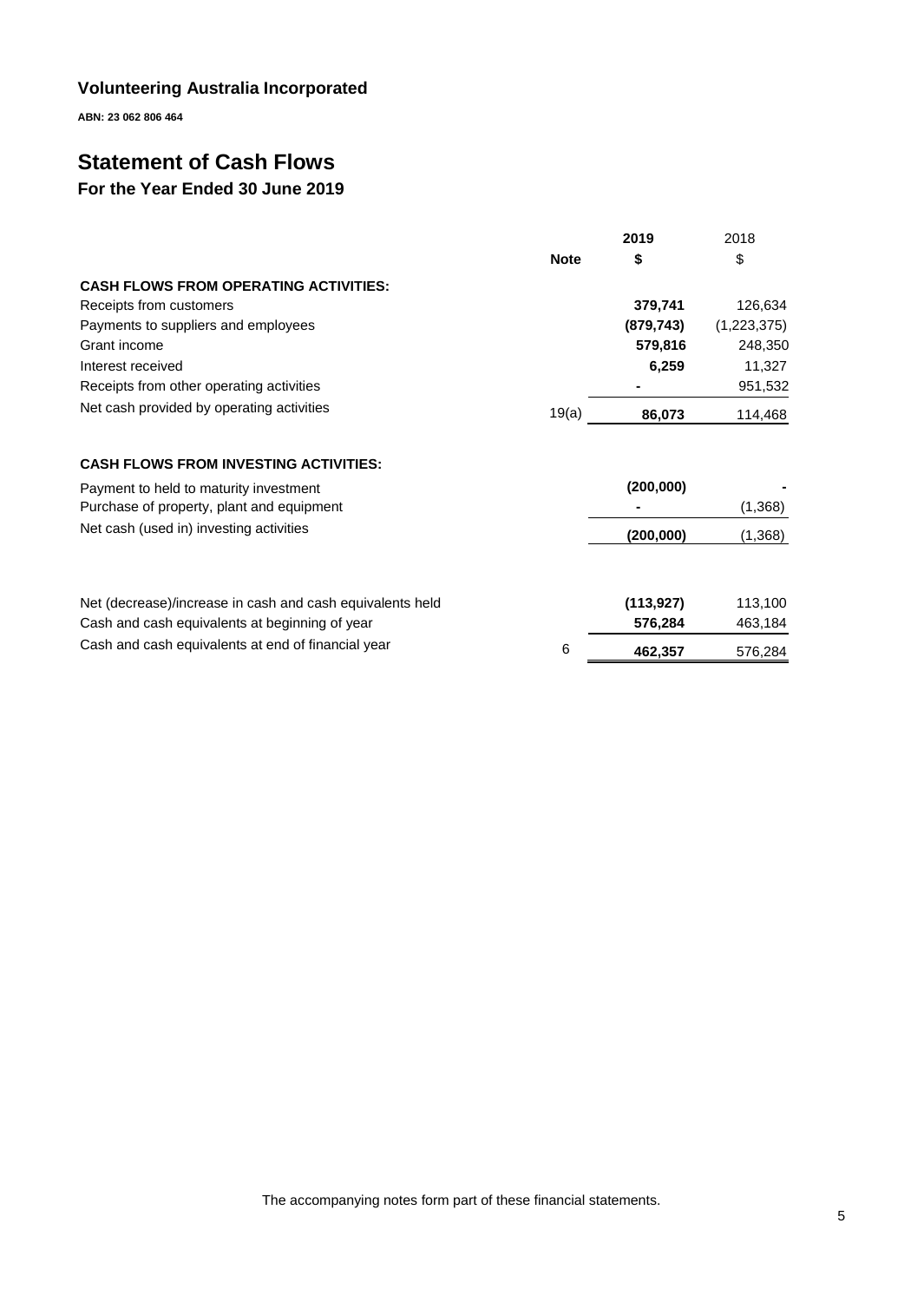**ABN: 23 062 806 464**

# **Statement of Cash Flows**

# **For the Year Ended 30 June 2019**

|                                              |             | 2019       | 2018        |
|----------------------------------------------|-------------|------------|-------------|
|                                              | <b>Note</b> | \$         | \$          |
| <b>CASH FLOWS FROM OPERATING ACTIVITIES:</b> |             |            |             |
| Receipts from customers                      |             | 379.741    | 126,634     |
| Payments to suppliers and employees          |             | (879, 743) | (1,223,375) |
| Grant income                                 |             | 579,816    | 248,350     |
| Interest received                            |             | 6.259      | 11.327      |
| Receipts from other operating activities     |             |            | 951,532     |
| Net cash provided by operating activities    | 19(a)       | 86,073     | 114,468     |
| <b>CASH FLOWS FROM INVESTING ACTIVITIES:</b> |             |            |             |
| Payment to held to maturity investment       |             | (200,000)  |             |

| Payment to neight to maturity investment                  |   | 1200.0007  |         |
|-----------------------------------------------------------|---|------------|---------|
| Purchase of property, plant and equipment                 |   |            | (1,368) |
| Net cash (used in) investing activities                   |   | (200,000)  | (1,368) |
|                                                           |   |            |         |
| Net (decrease)/increase in cash and cash equivalents held |   | (113, 927) | 113,100 |
| Cash and cash equivalents at beginning of year            |   | 576.284    | 463,184 |
| Cash and cash equivalents at end of financial year        | 6 | 462,357    | 576,284 |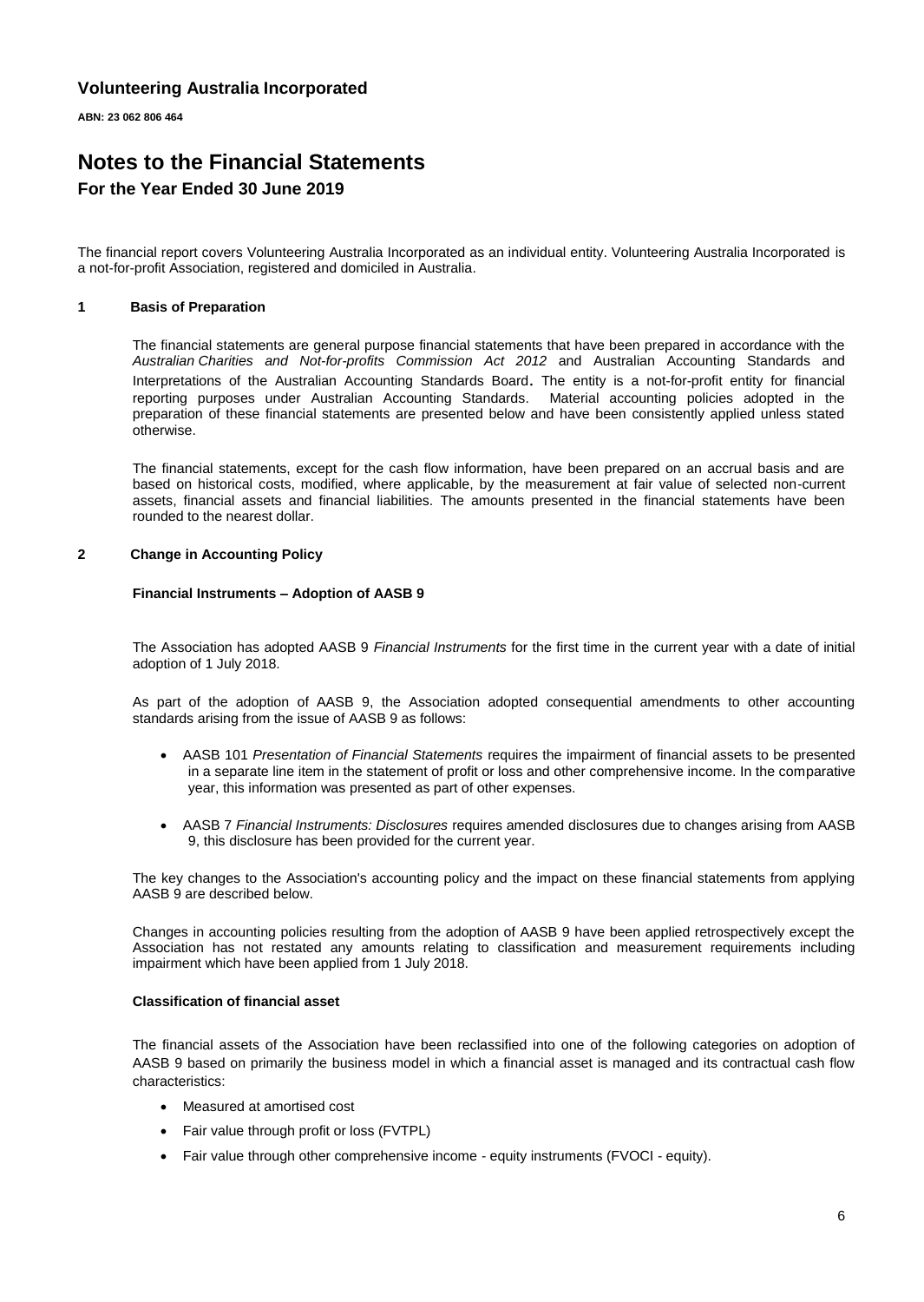**ABN: 23 062 806 464**

## **Notes to the Financial Statements For the Year Ended 30 June 2019**

The financial report covers Volunteering Australia Incorporated as an individual entity. Volunteering Australia Incorporated is a not-for-profit Association, registered and domiciled in Australia.

#### **1 Basis of Preparation**

The financial statements are general purpose financial statements that have been prepared in accordance with the *Australian Charities and Not-for-profits Commission Act 2012* and Australian Accounting Standards and Interpretations of the Australian Accounting Standards Board. The entity is a not-for-profit entity for financial reporting purposes under Australian Accounting Standards. Material accounting policies adopted in the preparation of these financial statements are presented below and have been consistently applied unless stated otherwise.

The financial statements, except for the cash flow information, have been prepared on an accrual basis and are based on historical costs, modified, where applicable, by the measurement at fair value of selected non-current assets, financial assets and financial liabilities. The amounts presented in the financial statements have been rounded to the nearest dollar.

#### **2 Change in Accounting Policy**

#### **Financial Instruments – Adoption of AASB 9**

The Association has adopted AASB 9 *Financial Instruments* for the first time in the current year with a date of initial adoption of 1 July 2018.

As part of the adoption of AASB 9, the Association adopted consequential amendments to other accounting standards arising from the issue of AASB 9 as follows:

- AASB 101 *Presentation of Financial Statements* requires the impairment of financial assets to be presented in a separate line item in the statement of profit or loss and other comprehensive income. In the comparative year, this information was presented as part of other expenses.
- AASB 7 *Financial Instruments: Disclosures* requires amended disclosures due to changes arising from AASB 9, this disclosure has been provided for the current year.

The key changes to the Association's accounting policy and the impact on these financial statements from applying AASB 9 are described below.

Changes in accounting policies resulting from the adoption of AASB 9 have been applied retrospectively except the Association has not restated any amounts relating to classification and measurement requirements including impairment which have been applied from 1 July 2018.

#### **Classification of financial asset**

The financial assets of the Association have been reclassified into one of the following categories on adoption of AASB 9 based on primarily the business model in which a financial asset is managed and its contractual cash flow characteristics:

- Measured at amortised cost
- Fair value through profit or loss (FVTPL)
- Fair value through other comprehensive income equity instruments (FVOCI equity).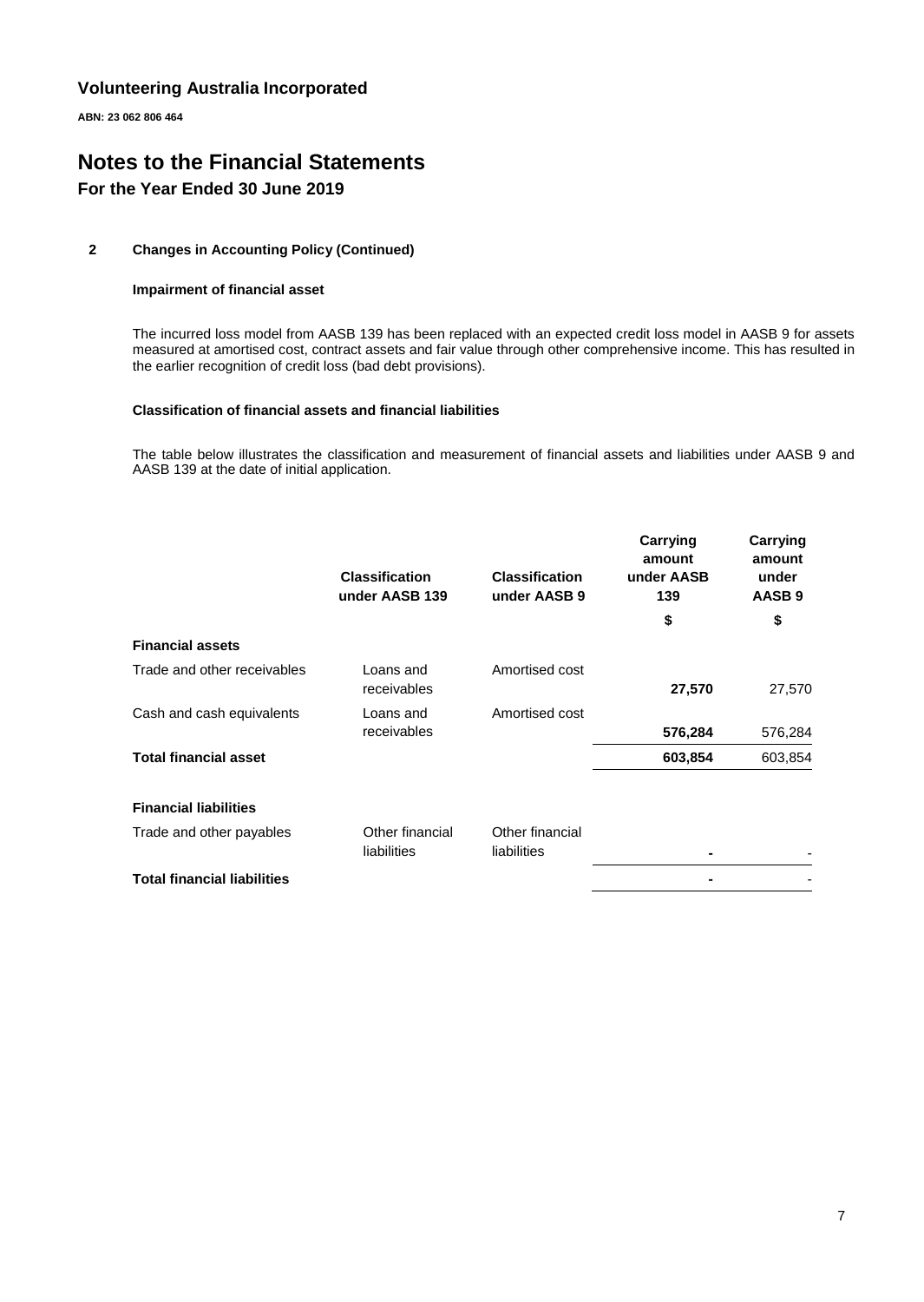**ABN: 23 062 806 464**

# **Notes to the Financial Statements For the Year Ended 30 June 2019**

### **2 Changes in Accounting Policy (Continued)**

#### **Impairment of financial asset**

The incurred loss model from AASB 139 has been replaced with an expected credit loss model in AASB 9 for assets measured at amortised cost, contract assets and fair value through other comprehensive income. This has resulted in the earlier recognition of credit loss (bad debt provisions).

#### **Classification of financial assets and financial liabilities**

The table below illustrates the classification and measurement of financial assets and liabilities under AASB 9 and AASB 139 at the date of initial application.

|                                    | <b>Classification</b><br>under AASB 139 | <b>Classification</b><br>under AASB 9 | Carrying<br>amount<br>under AASB<br>139 | Carrying<br>amount<br>under<br>AASB <sub>9</sub> |
|------------------------------------|-----------------------------------------|---------------------------------------|-----------------------------------------|--------------------------------------------------|
|                                    |                                         |                                       | \$                                      | \$                                               |
| <b>Financial assets</b>            |                                         |                                       |                                         |                                                  |
| Trade and other receivables        | Loans and<br>receivables                | Amortised cost                        | 27,570                                  | 27,570                                           |
| Cash and cash equivalents          | Loans and<br>receivables                | Amortised cost                        | 576,284                                 | 576,284                                          |
| <b>Total financial asset</b>       |                                         |                                       | 603,854                                 | 603,854                                          |
| <b>Financial liabilities</b>       |                                         |                                       |                                         |                                                  |
| Trade and other payables           | Other financial<br>liabilities          | Other financial<br>liabilities        |                                         |                                                  |
| <b>Total financial liabilities</b> |                                         |                                       |                                         |                                                  |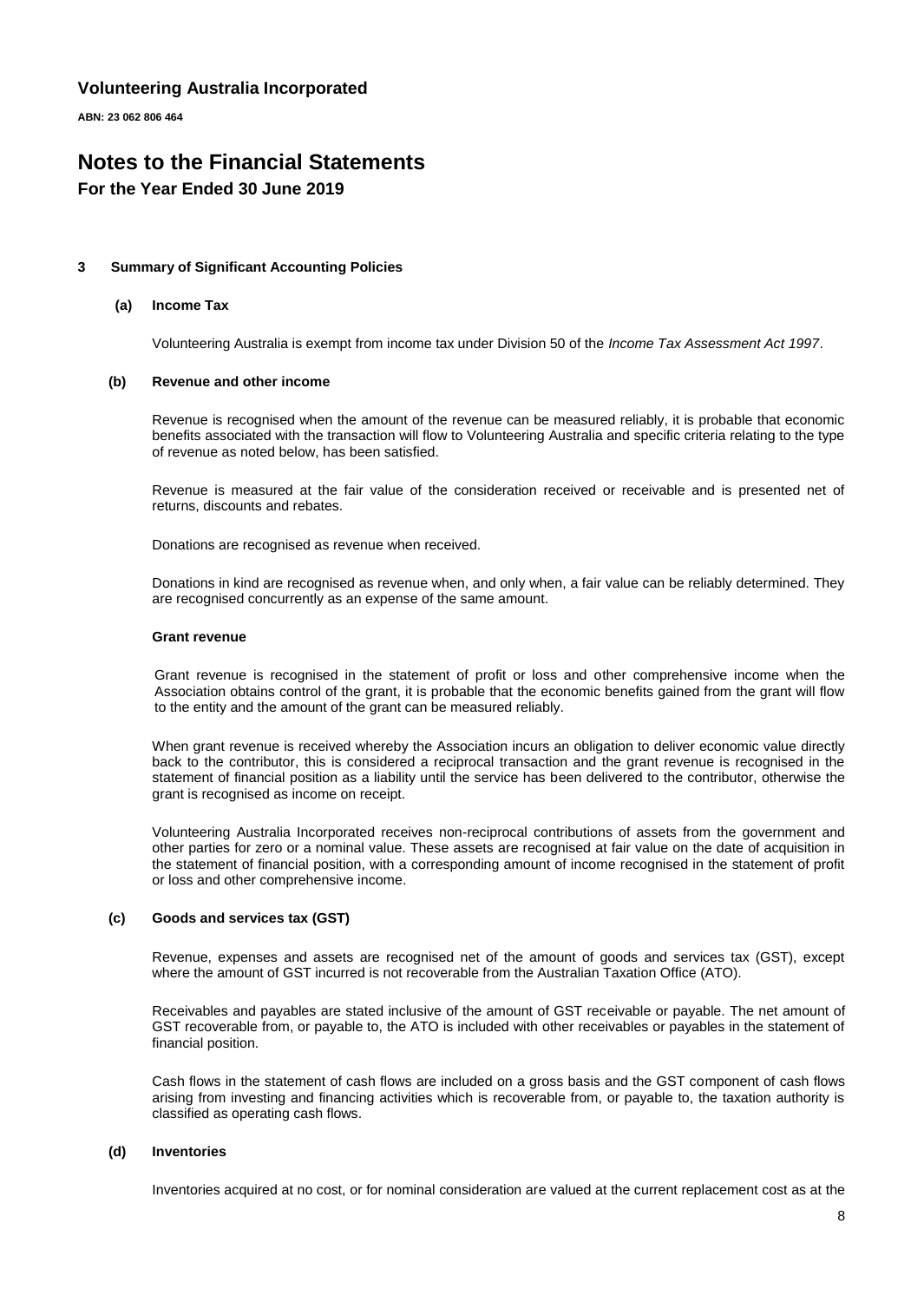**ABN: 23 062 806 464**

# **Notes to the Financial Statements**

### **For the Year Ended 30 June 2019**

#### **3 Summary of Significant Accounting Policies**

#### **(a) Income Tax**

Volunteering Australia is exempt from income tax under Division 50 of the *Income Tax Assessment Act 1997*.

#### **(b) Revenue and other income**

Revenue is recognised when the amount of the revenue can be measured reliably, it is probable that economic benefits associated with the transaction will flow to Volunteering Australia and specific criteria relating to the type of revenue as noted below, has been satisfied.

Revenue is measured at the fair value of the consideration received or receivable and is presented net of returns, discounts and rebates.

Donations are recognised as revenue when received.

Donations in kind are recognised as revenue when, and only when, a fair value can be reliably determined. They are recognised concurrently as an expense of the same amount.

#### **Grant revenue**

Grant revenue is recognised in the statement of profit or loss and other comprehensive income when the Association obtains control of the grant, it is probable that the economic benefits gained from the grant will flow to the entity and the amount of the grant can be measured reliably.

When grant revenue is received whereby the Association incurs an obligation to deliver economic value directly back to the contributor, this is considered a reciprocal transaction and the grant revenue is recognised in the statement of financial position as a liability until the service has been delivered to the contributor, otherwise the grant is recognised as income on receipt.

Volunteering Australia Incorporated receives non-reciprocal contributions of assets from the government and other parties for zero or a nominal value. These assets are recognised at fair value on the date of acquisition in the statement of financial position, with a corresponding amount of income recognised in the statement of profit or loss and other comprehensive income.

#### **(c) Goods and services tax (GST)**

Revenue, expenses and assets are recognised net of the amount of goods and services tax (GST), except where the amount of GST incurred is not recoverable from the Australian Taxation Office (ATO).

Receivables and payables are stated inclusive of the amount of GST receivable or payable. The net amount of GST recoverable from, or payable to, the ATO is included with other receivables or payables in the statement of financial position.

Cash flows in the statement of cash flows are included on a gross basis and the GST component of cash flows arising from investing and financing activities which is recoverable from, or payable to, the taxation authority is classified as operating cash flows.

#### **(d) Inventories**

Inventories acquired at no cost, or for nominal consideration are valued at the current replacement cost as at the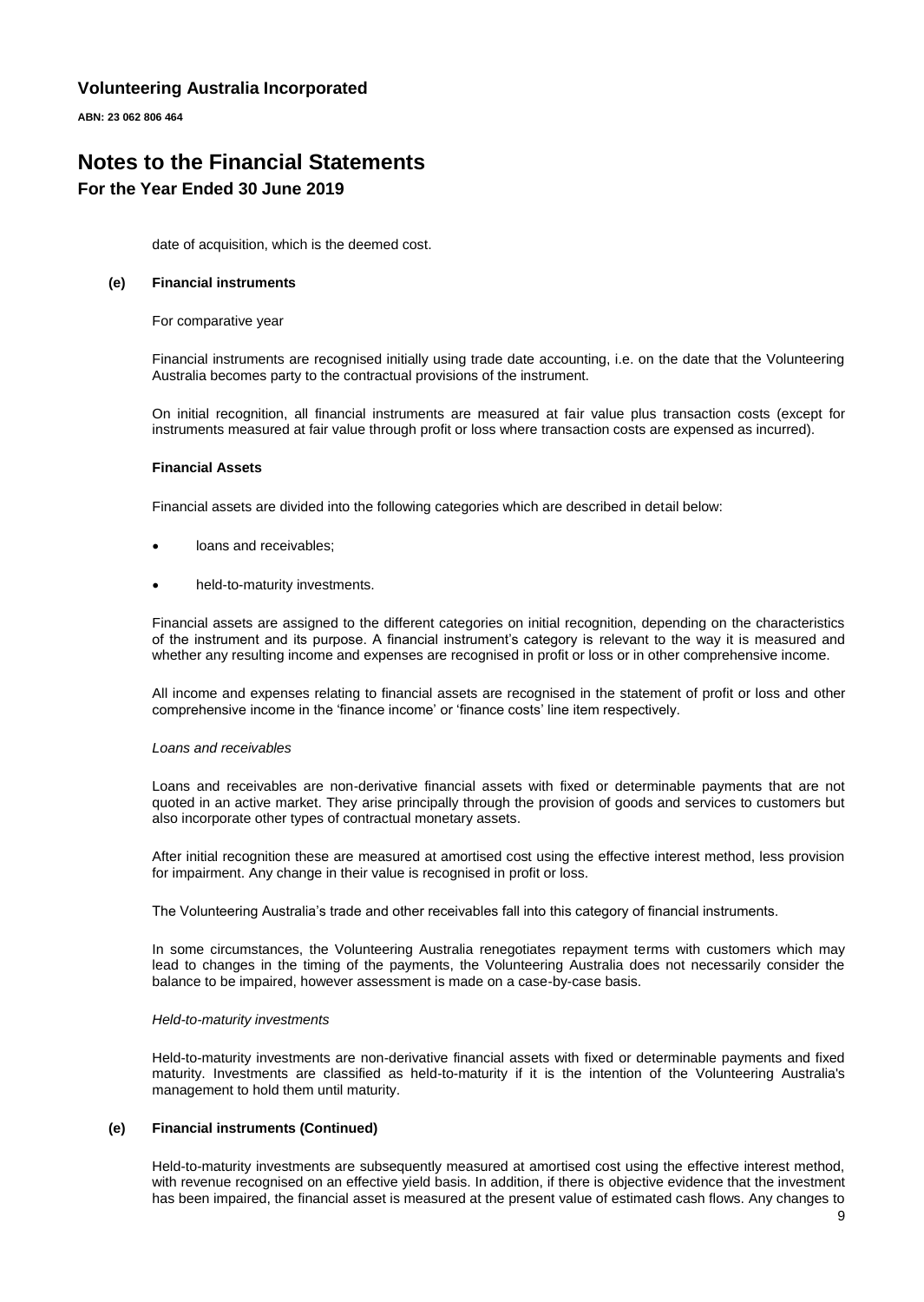**ABN: 23 062 806 464**

# **Notes to the Financial Statements For the Year Ended 30 June 2019**

date of acquisition, which is the deemed cost.

#### **(e) Financial instruments**

For comparative year

Financial instruments are recognised initially using trade date accounting, i.e. on the date that the Volunteering Australia becomes party to the contractual provisions of the instrument.

On initial recognition, all financial instruments are measured at fair value plus transaction costs (except for instruments measured at fair value through profit or loss where transaction costs are expensed as incurred).

#### **Financial Assets**

Financial assets are divided into the following categories which are described in detail below:

- loans and receivables;
- held-to-maturity investments.

Financial assets are assigned to the different categories on initial recognition, depending on the characteristics of the instrument and its purpose. A financial instrument's category is relevant to the way it is measured and whether any resulting income and expenses are recognised in profit or loss or in other comprehensive income.

All income and expenses relating to financial assets are recognised in the statement of profit or loss and other comprehensive income in the 'finance income' or 'finance costs' line item respectively.

#### *Loans and receivables*

Loans and receivables are non-derivative financial assets with fixed or determinable payments that are not quoted in an active market. They arise principally through the provision of goods and services to customers but also incorporate other types of contractual monetary assets.

After initial recognition these are measured at amortised cost using the effective interest method, less provision for impairment. Any change in their value is recognised in profit or loss.

The Volunteering Australia's trade and other receivables fall into this category of financial instruments.

In some circumstances, the Volunteering Australia renegotiates repayment terms with customers which may lead to changes in the timing of the payments, the Volunteering Australia does not necessarily consider the balance to be impaired, however assessment is made on a case-by-case basis.

#### *Held-to-maturity investments*

Held-to-maturity investments are non-derivative financial assets with fixed or determinable payments and fixed maturity. Investments are classified as held-to-maturity if it is the intention of the Volunteering Australia's management to hold them until maturity.

#### **(e) Financial instruments (Continued)**

Held-to-maturity investments are subsequently measured at amortised cost using the effective interest method, with revenue recognised on an effective yield basis. In addition, if there is objective evidence that the investment has been impaired, the financial asset is measured at the present value of estimated cash flows. Any changes to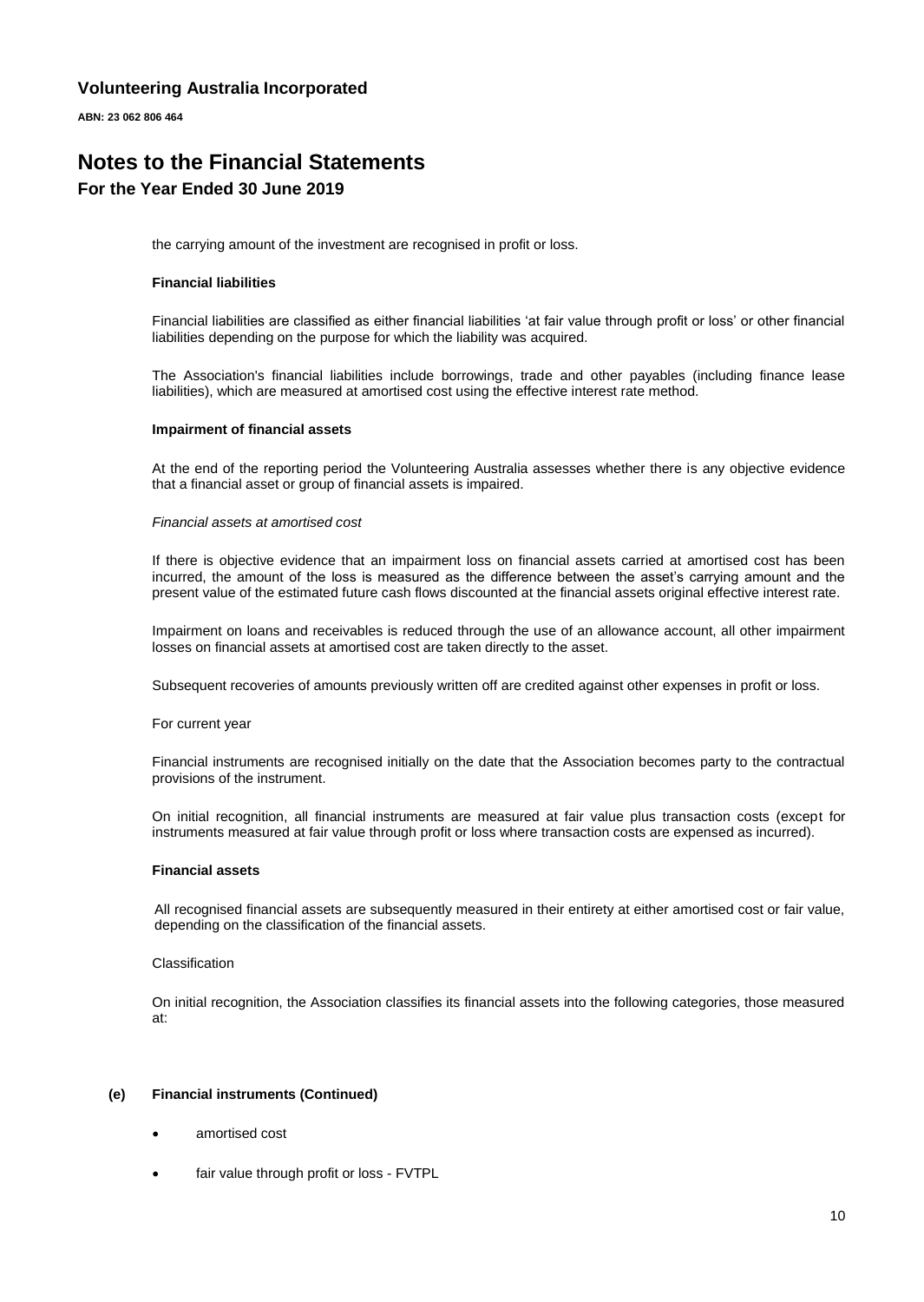**ABN: 23 062 806 464**

## **Notes to the Financial Statements For the Year Ended 30 June 2019**

the carrying amount of the investment are recognised in profit or loss.

#### **Financial liabilities**

Financial liabilities are classified as either financial liabilities 'at fair value through profit or loss' or other financial liabilities depending on the purpose for which the liability was acquired.

The Association's financial liabilities include borrowings, trade and other payables (including finance lease liabilities), which are measured at amortised cost using the effective interest rate method.

#### **Impairment of financial assets**

At the end of the reporting period the Volunteering Australia assesses whether there is any objective evidence that a financial asset or group of financial assets is impaired.

#### *Financial assets at amortised cost*

If there is objective evidence that an impairment loss on financial assets carried at amortised cost has been incurred, the amount of the loss is measured as the difference between the asset's carrying amount and the present value of the estimated future cash flows discounted at the financial assets original effective interest rate.

Impairment on loans and receivables is reduced through the use of an allowance account, all other impairment losses on financial assets at amortised cost are taken directly to the asset.

Subsequent recoveries of amounts previously written off are credited against other expenses in profit or loss.

#### For current year

Financial instruments are recognised initially on the date that the Association becomes party to the contractual provisions of the instrument.

On initial recognition, all financial instruments are measured at fair value plus transaction costs (except for instruments measured at fair value through profit or loss where transaction costs are expensed as incurred).

#### **Financial assets**

All recognised financial assets are subsequently measured in their entirety at either amortised cost or fair value, depending on the classification of the financial assets.

#### Classification

On initial recognition, the Association classifies its financial assets into the following categories, those measured at:

#### **(e) Financial instruments (Continued)**

- amortised cost
- fair value through profit or loss FVTPL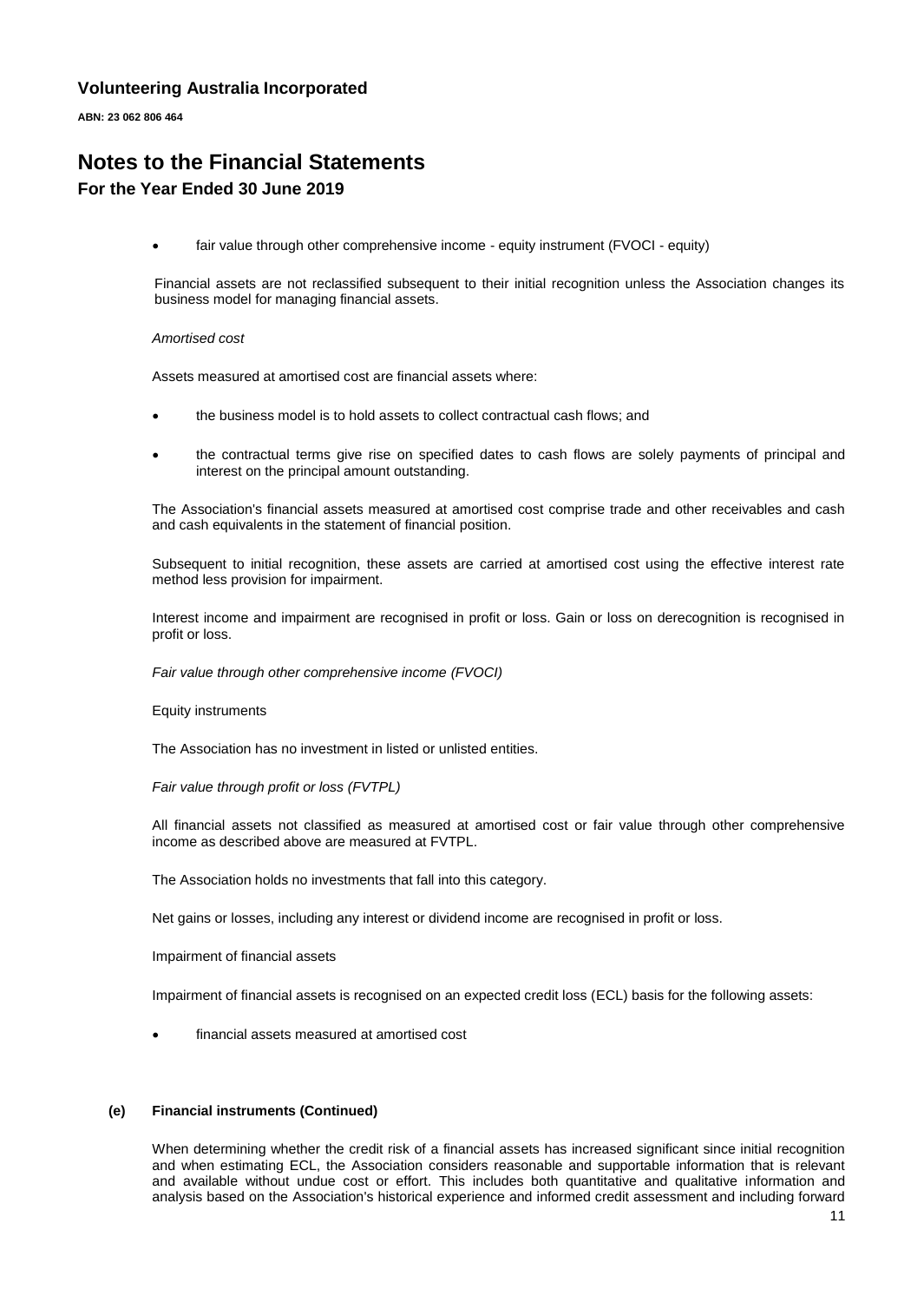**ABN: 23 062 806 464**

## **Notes to the Financial Statements For the Year Ended 30 June 2019**

fair value through other comprehensive income - equity instrument (FVOCI - equity)

Financial assets are not reclassified subsequent to their initial recognition unless the Association changes its business model for managing financial assets.

#### *Amortised cost*

Assets measured at amortised cost are financial assets where:

- the business model is to hold assets to collect contractual cash flows; and
- the contractual terms give rise on specified dates to cash flows are solely payments of principal and interest on the principal amount outstanding.

The Association's financial assets measured at amortised cost comprise trade and other receivables and cash and cash equivalents in the statement of financial position.

Subsequent to initial recognition, these assets are carried at amortised cost using the effective interest rate method less provision for impairment.

Interest income and impairment are recognised in profit or loss. Gain or loss on derecognition is recognised in profit or loss.

*Fair value through other comprehensive income (FVOCI)*

Equity instruments

The Association has no investment in listed or unlisted entities.

*Fair value through profit or loss (FVTPL)*

All financial assets not classified as measured at amortised cost or fair value through other comprehensive income as described above are measured at FVTPL.

The Association holds no investments that fall into this category.

Net gains or losses, including any interest or dividend income are recognised in profit or loss.

Impairment of financial assets

Impairment of financial assets is recognised on an expected credit loss (ECL) basis for the following assets:

• financial assets measured at amortised cost

#### **(e) Financial instruments (Continued)**

When determining whether the credit risk of a financial assets has increased significant since initial recognition and when estimating ECL, the Association considers reasonable and supportable information that is relevant and available without undue cost or effort. This includes both quantitative and qualitative information and analysis based on the Association's historical experience and informed credit assessment and including forward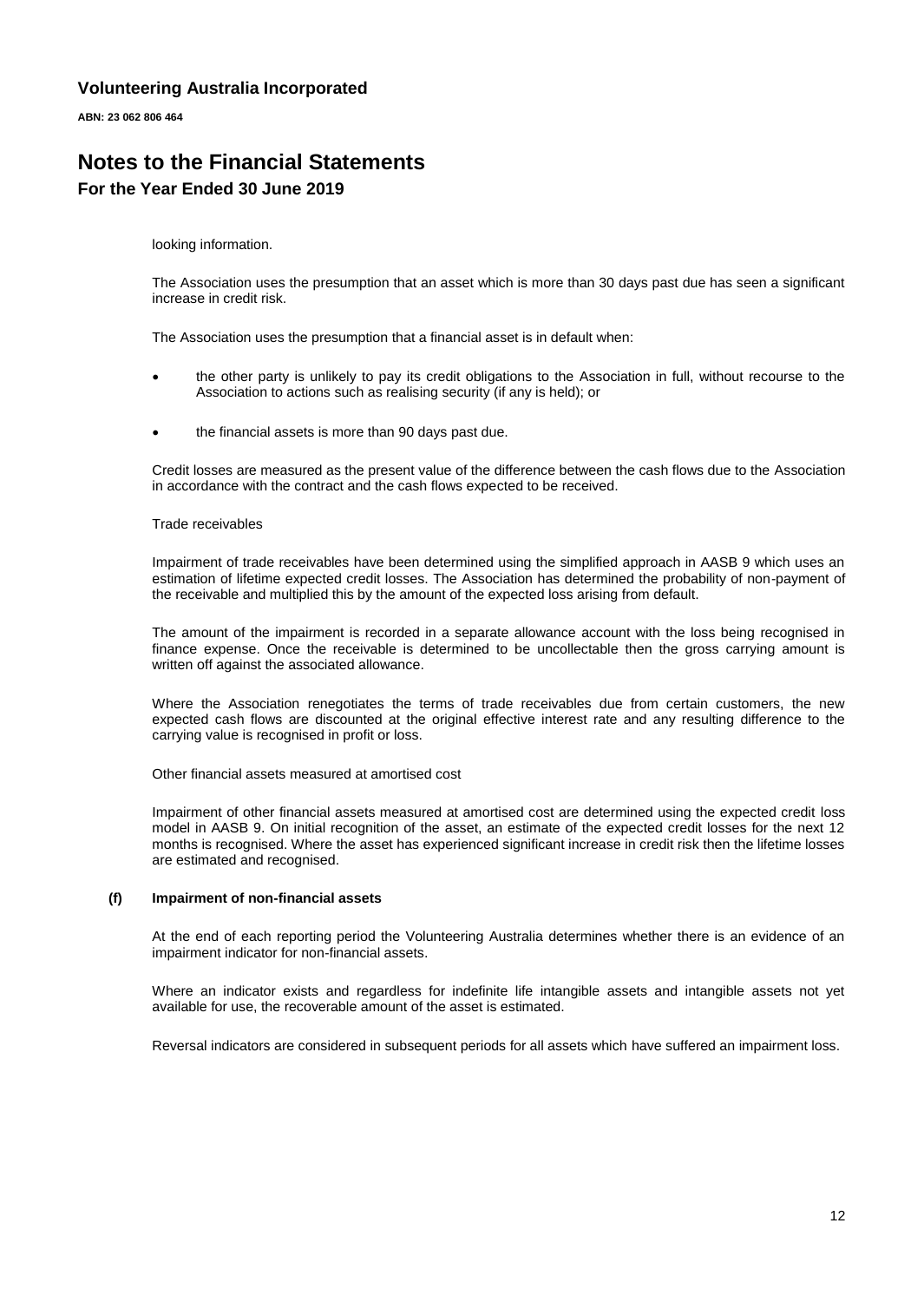**ABN: 23 062 806 464**

# **Notes to the Financial Statements For the Year Ended 30 June 2019**

looking information.

The Association uses the presumption that an asset which is more than 30 days past due has seen a significant increase in credit risk.

The Association uses the presumption that a financial asset is in default when:

- the other party is unlikely to pay its credit obligations to the Association in full, without recourse to the Association to actions such as realising security (if any is held); or
- the financial assets is more than 90 days past due.

Credit losses are measured as the present value of the difference between the cash flows due to the Association in accordance with the contract and the cash flows expected to be received.

#### Trade receivables

Impairment of trade receivables have been determined using the simplified approach in AASB 9 which uses an estimation of lifetime expected credit losses. The Association has determined the probability of non-payment of the receivable and multiplied this by the amount of the expected loss arising from default.

The amount of the impairment is recorded in a separate allowance account with the loss being recognised in finance expense. Once the receivable is determined to be uncollectable then the gross carrying amount is written off against the associated allowance.

Where the Association renegotiates the terms of trade receivables due from certain customers, the new expected cash flows are discounted at the original effective interest rate and any resulting difference to the carrying value is recognised in profit or loss.

Other financial assets measured at amortised cost

Impairment of other financial assets measured at amortised cost are determined using the expected credit loss model in AASB 9. On initial recognition of the asset, an estimate of the expected credit losses for the next 12 months is recognised. Where the asset has experienced significant increase in credit risk then the lifetime losses are estimated and recognised.

#### **(f) Impairment of non-financial assets**

At the end of each reporting period the Volunteering Australia determines whether there is an evidence of an impairment indicator for non-financial assets.

Where an indicator exists and regardless for indefinite life intangible assets and intangible assets not yet available for use, the recoverable amount of the asset is estimated.

Reversal indicators are considered in subsequent periods for all assets which have suffered an impairment loss.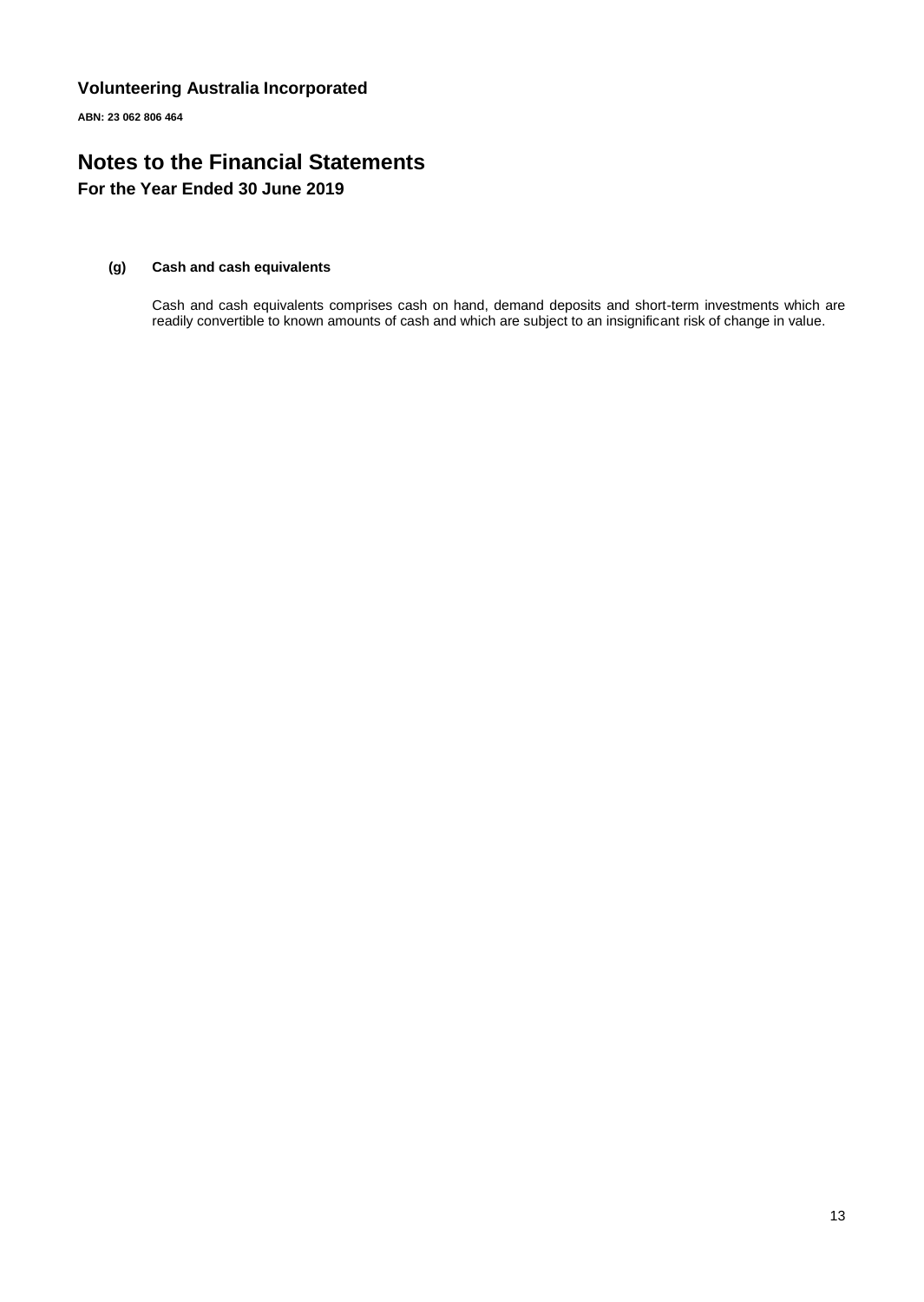**ABN: 23 062 806 464**

# **Notes to the Financial Statements For the Year Ended 30 June 2019**

#### **(g) Cash and cash equivalents**

Cash and cash equivalents comprises cash on hand, demand deposits and short-term investments which are readily convertible to known amounts of cash and which are subject to an insignificant risk of change in value.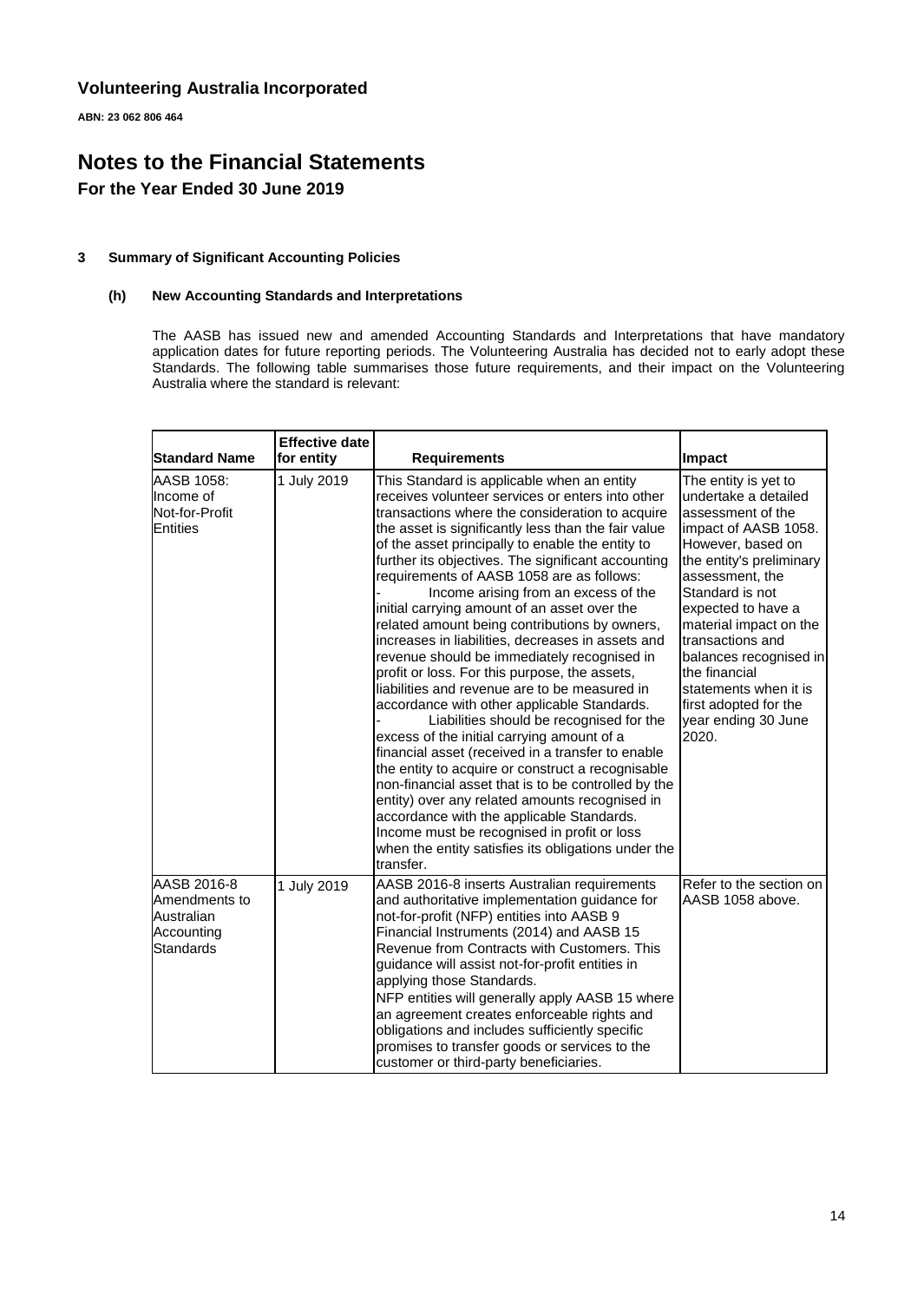**ABN: 23 062 806 464**

# **Notes to the Financial Statements For the Year Ended 30 June 2019**

#### **3 Summary of Significant Accounting Policies**

#### **(h) New Accounting Standards and Interpretations**

The AASB has issued new and amended Accounting Standards and Interpretations that have mandatory application dates for future reporting periods. The Volunteering Australia has decided not to early adopt these Standards. The following table summarises those future requirements, and their impact on the Volunteering Australia where the standard is relevant:

| <b>Standard Name</b>                                                  | <b>Effective date</b><br>for entity | <b>Requirements</b>                                                                                                                                                                                                                                                                                                                                                                                                                                                                                                                                                                                                                                                                                                                                                                                                                                                                                                                                                                                                                                                                                                                                                                                                                        | Impact                                                                                                                                                                                                                                                                                                                                                                            |
|-----------------------------------------------------------------------|-------------------------------------|--------------------------------------------------------------------------------------------------------------------------------------------------------------------------------------------------------------------------------------------------------------------------------------------------------------------------------------------------------------------------------------------------------------------------------------------------------------------------------------------------------------------------------------------------------------------------------------------------------------------------------------------------------------------------------------------------------------------------------------------------------------------------------------------------------------------------------------------------------------------------------------------------------------------------------------------------------------------------------------------------------------------------------------------------------------------------------------------------------------------------------------------------------------------------------------------------------------------------------------------|-----------------------------------------------------------------------------------------------------------------------------------------------------------------------------------------------------------------------------------------------------------------------------------------------------------------------------------------------------------------------------------|
| AASB 1058:<br>Income of<br>Not-for-Profit<br>Entities                 | 1 July 2019                         | This Standard is applicable when an entity<br>receives volunteer services or enters into other<br>transactions where the consideration to acquire<br>the asset is significantly less than the fair value<br>of the asset principally to enable the entity to<br>further its objectives. The significant accounting<br>requirements of AASB 1058 are as follows:<br>Income arising from an excess of the<br>initial carrying amount of an asset over the<br>related amount being contributions by owners,<br>increases in liabilities, decreases in assets and<br>revenue should be immediately recognised in<br>profit or loss. For this purpose, the assets,<br>liabilities and revenue are to be measured in<br>accordance with other applicable Standards.<br>Liabilities should be recognised for the<br>excess of the initial carrying amount of a<br>financial asset (received in a transfer to enable<br>the entity to acquire or construct a recognisable<br>non-financial asset that is to be controlled by the<br>entity) over any related amounts recognised in<br>accordance with the applicable Standards.<br>Income must be recognised in profit or loss<br>when the entity satisfies its obligations under the<br>transfer. | The entity is yet to<br>undertake a detailed<br>assessment of the<br>impact of AASB 1058.<br>However, based on<br>the entity's preliminary<br>assessment, the<br>Standard is not<br>expected to have a<br>material impact on the<br>transactions and<br>balances recognised in<br>the financial<br>statements when it is<br>first adopted for the<br>year ending 30 June<br>2020. |
| AASB 2016-8<br>Amendments to<br>Australian<br>Accounting<br>Standards | 1 July 2019                         | AASB 2016-8 inserts Australian requirements<br>and authoritative implementation guidance for<br>not-for-profit (NFP) entities into AASB 9<br>Financial Instruments (2014) and AASB 15<br>Revenue from Contracts with Customers. This<br>guidance will assist not-for-profit entities in<br>applying those Standards.<br>NFP entities will generally apply AASB 15 where<br>an agreement creates enforceable rights and<br>obligations and includes sufficiently specific<br>promises to transfer goods or services to the<br>customer or third-party beneficiaries.                                                                                                                                                                                                                                                                                                                                                                                                                                                                                                                                                                                                                                                                        | Refer to the section on<br>AASB 1058 above.                                                                                                                                                                                                                                                                                                                                       |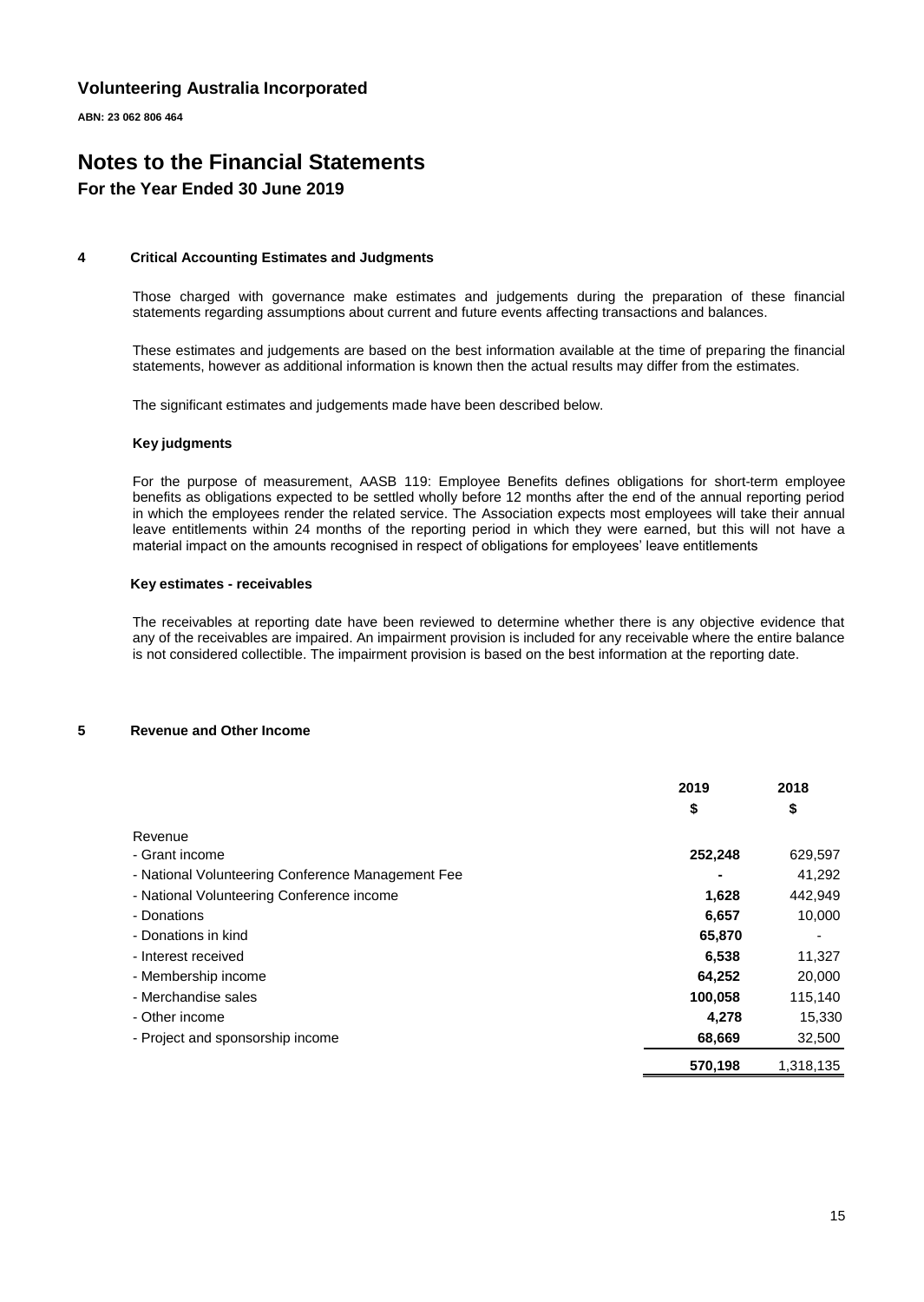**ABN: 23 062 806 464**

### **Notes to the Financial Statements For the Year Ended 30 June 2019**

#### **4 Critical Accounting Estimates and Judgments**

Those charged with governance make estimates and judgements during the preparation of these financial statements regarding assumptions about current and future events affecting transactions and balances.

These estimates and judgements are based on the best information available at the time of preparing the financial statements, however as additional information is known then the actual results may differ from the estimates.

The significant estimates and judgements made have been described below.

#### **Key judgments**

For the purpose of measurement, AASB 119: Employee Benefits defines obligations for short-term employee benefits as obligations expected to be settled wholly before 12 months after the end of the annual reporting period in which the employees render the related service. The Association expects most employees will take their annual leave entitlements within 24 months of the reporting period in which they were earned, but this will not have a material impact on the amounts recognised in respect of obligations for employees' leave entitlements

#### **Key estimates - receivables**

The receivables at reporting date have been reviewed to determine whether there is any objective evidence that any of the receivables are impaired. An impairment provision is included for any receivable where the entire balance is not considered collectible. The impairment provision is based on the best information at the reporting date.

#### **5 Revenue and Other Income**

|                                                   | 2019    | 2018      |
|---------------------------------------------------|---------|-----------|
|                                                   | \$      | \$        |
| Revenue                                           |         |           |
| - Grant income                                    | 252,248 | 629,597   |
| - National Volunteering Conference Management Fee |         | 41,292    |
| - National Volunteering Conference income         | 1,628   | 442,949   |
| - Donations                                       | 6,657   | 10,000    |
| - Donations in kind                               | 65,870  |           |
| - Interest received                               | 6,538   | 11,327    |
| - Membership income                               | 64,252  | 20,000    |
| - Merchandise sales                               | 100,058 | 115,140   |
| - Other income                                    | 4.278   | 15,330    |
| - Project and sponsorship income                  | 68,669  | 32,500    |
|                                                   | 570.198 | 1.318.135 |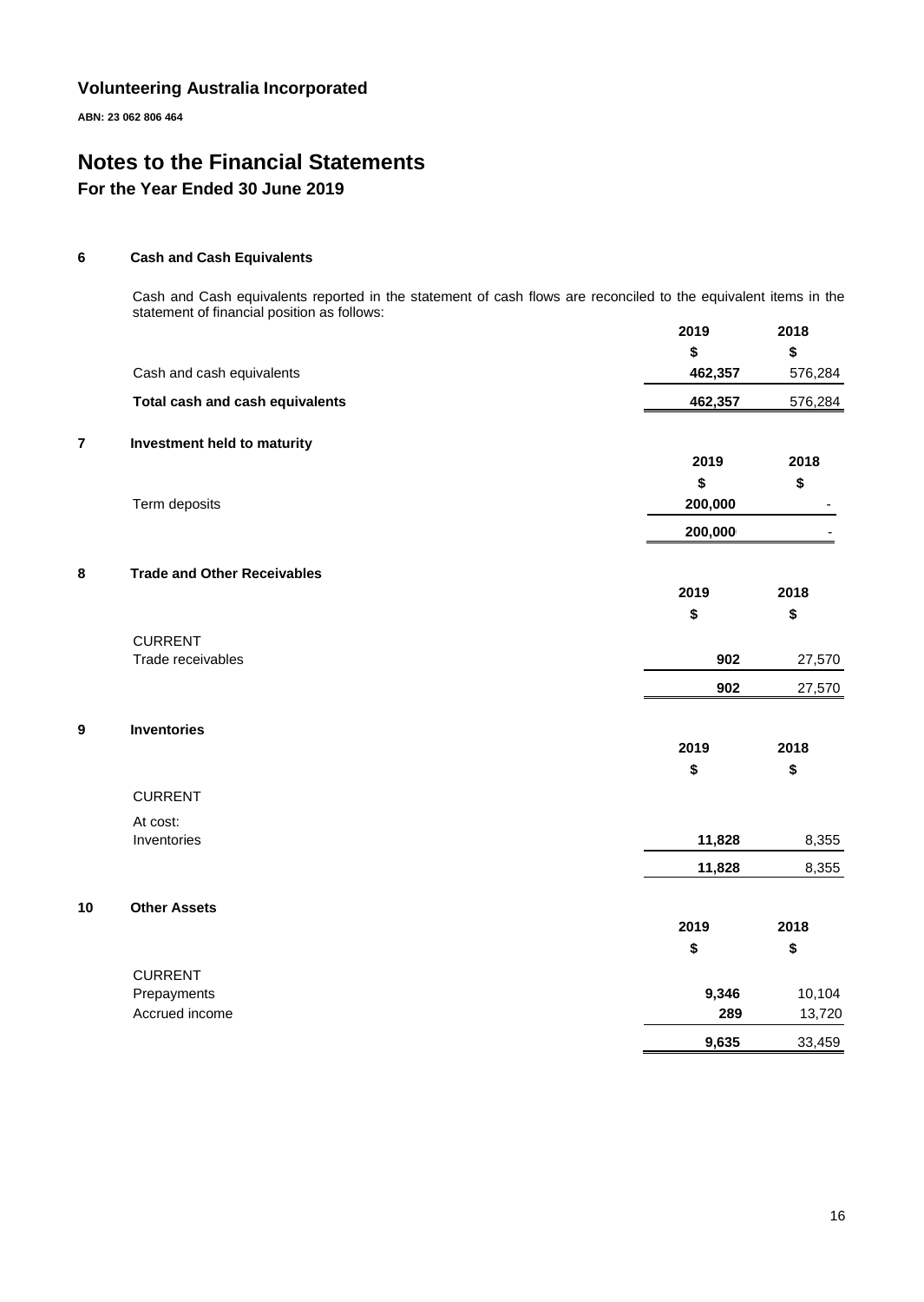**ABN: 23 062 806 464**

# **Notes to the Financial Statements For the Year Ended 30 June 2019**

#### **6 Cash and Cash Equivalents**

Cash and Cash equivalents reported in the statement of cash flows are reconciled to the equivalent items in the statement of financial position as follows:

|    |                                    | 2019    | 2018    |
|----|------------------------------------|---------|---------|
|    |                                    | \$      | \$      |
|    | Cash and cash equivalents          | 462,357 | 576,284 |
|    | Total cash and cash equivalents    | 462,357 | 576,284 |
| 7  | Investment held to maturity        |         |         |
|    |                                    | 2019    | 2018    |
|    |                                    | \$      | \$      |
|    | Term deposits                      | 200,000 |         |
|    |                                    | 200,000 |         |
| 8  | <b>Trade and Other Receivables</b> |         |         |
|    |                                    | 2019    | 2018    |
|    |                                    | \$      | \$      |
|    | <b>CURRENT</b>                     |         |         |
|    | Trade receivables                  | 902     | 27,570  |
|    |                                    | 902     | 27,570  |
| 9  | <b>Inventories</b>                 |         |         |
|    |                                    | 2019    | 2018    |
|    |                                    | \$      | \$      |
|    | <b>CURRENT</b>                     |         |         |
|    | At cost:                           |         |         |
|    | Inventories                        | 11,828  | 8,355   |
|    |                                    | 11,828  | 8,355   |
| 10 | <b>Other Assets</b>                |         |         |
|    |                                    | 2019    | 2018    |
|    |                                    | \$      | \$      |
|    | <b>CURRENT</b>                     |         |         |
|    | Prepayments                        | 9,346   | 10,104  |
|    | Accrued income                     | 289     | 13,720  |
|    |                                    | 9,635   | 33,459  |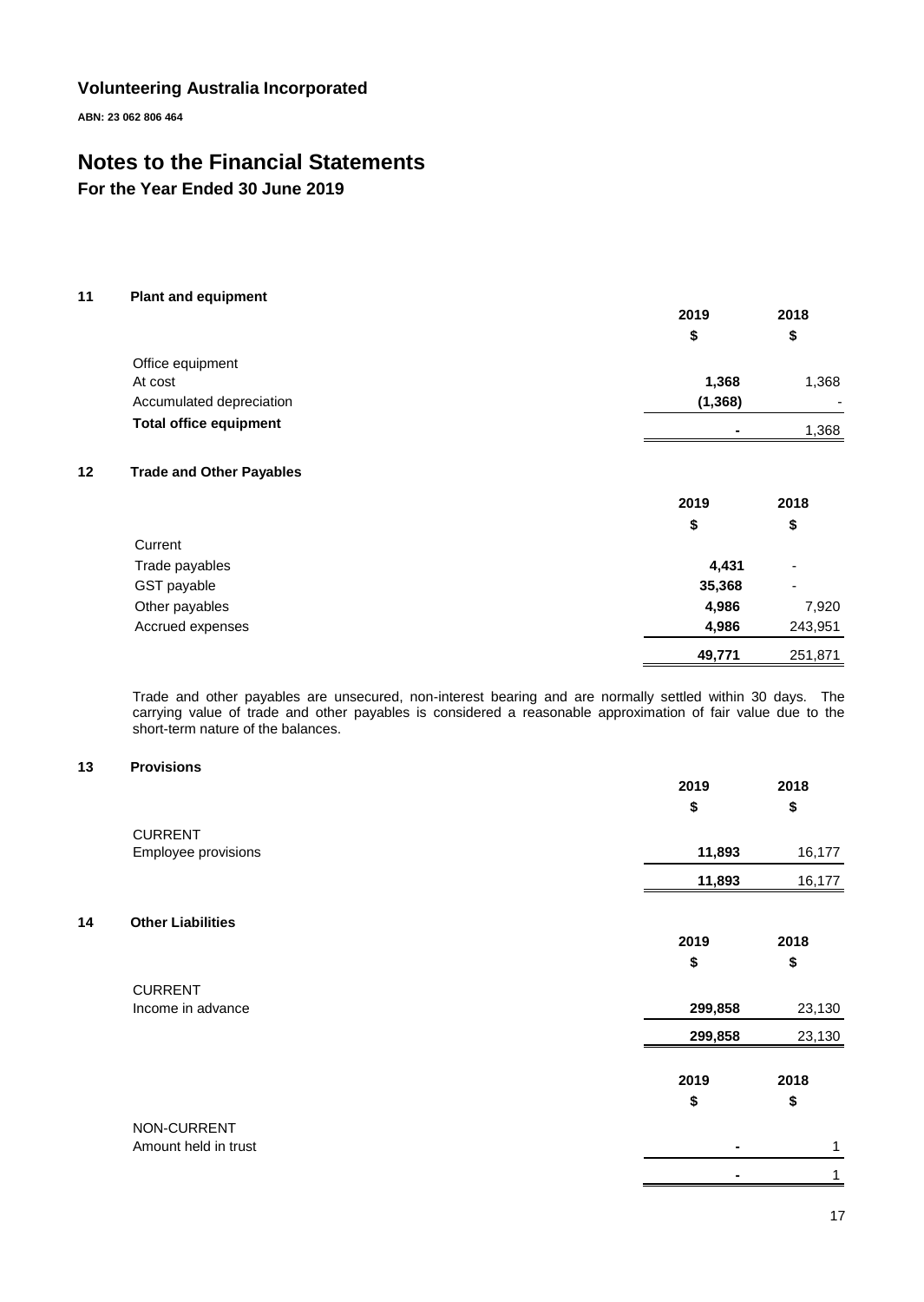**ABN: 23 062 806 464**

# **Notes to the Financial Statements**

**For the Year Ended 30 June 2019**

#### **11 Plant and equipment**

|                               | 2019           | 2018<br>\$               |
|-------------------------------|----------------|--------------------------|
|                               | S              |                          |
| Office equipment              |                |                          |
| At cost                       | 1,368          | 1,368                    |
| Accumulated depreciation      | (1, 368)       | $\overline{\phantom{0}}$ |
| <b>Total office equipment</b> | $\blacksquare$ | 1,368                    |

#### **12 Trade and Other Payables**

|                  | 2019   | 2018                     |
|------------------|--------|--------------------------|
|                  | \$     | \$                       |
| Current          |        |                          |
| Trade payables   | 4,431  | $\overline{\phantom{0}}$ |
| GST payable      | 35,368 | $\overline{\phantom{0}}$ |
| Other payables   | 4,986  | 7,920                    |
| Accrued expenses | 4,986  | 243,951                  |
|                  | 49,771 | 251,871                  |

Trade and other payables are unsecured, non-interest bearing and are normally settled within 30 days. The carrying value of trade and other payables is considered a reasonable approximation of fair value due to the short-term nature of the balances.

### **13 Provisions**

|    |                          | 2019           | 2018   |
|----|--------------------------|----------------|--------|
|    |                          | \$             | \$     |
|    | <b>CURRENT</b>           |                |        |
|    | Employee provisions      | 11,893         | 16,177 |
|    |                          | 11,893         | 16,177 |
| 14 | <b>Other Liabilities</b> |                |        |
|    |                          | 2019           | 2018   |
|    |                          | \$             | \$     |
|    | <b>CURRENT</b>           |                |        |
|    | Income in advance        | 299,858        | 23,130 |
|    |                          | 299,858        | 23,130 |
|    |                          | 2019           | 2018   |
|    |                          | \$             | \$     |
|    | NON-CURRENT              |                |        |
|    | Amount held in trust     | $\blacksquare$ | 1      |
|    |                          |                | 1      |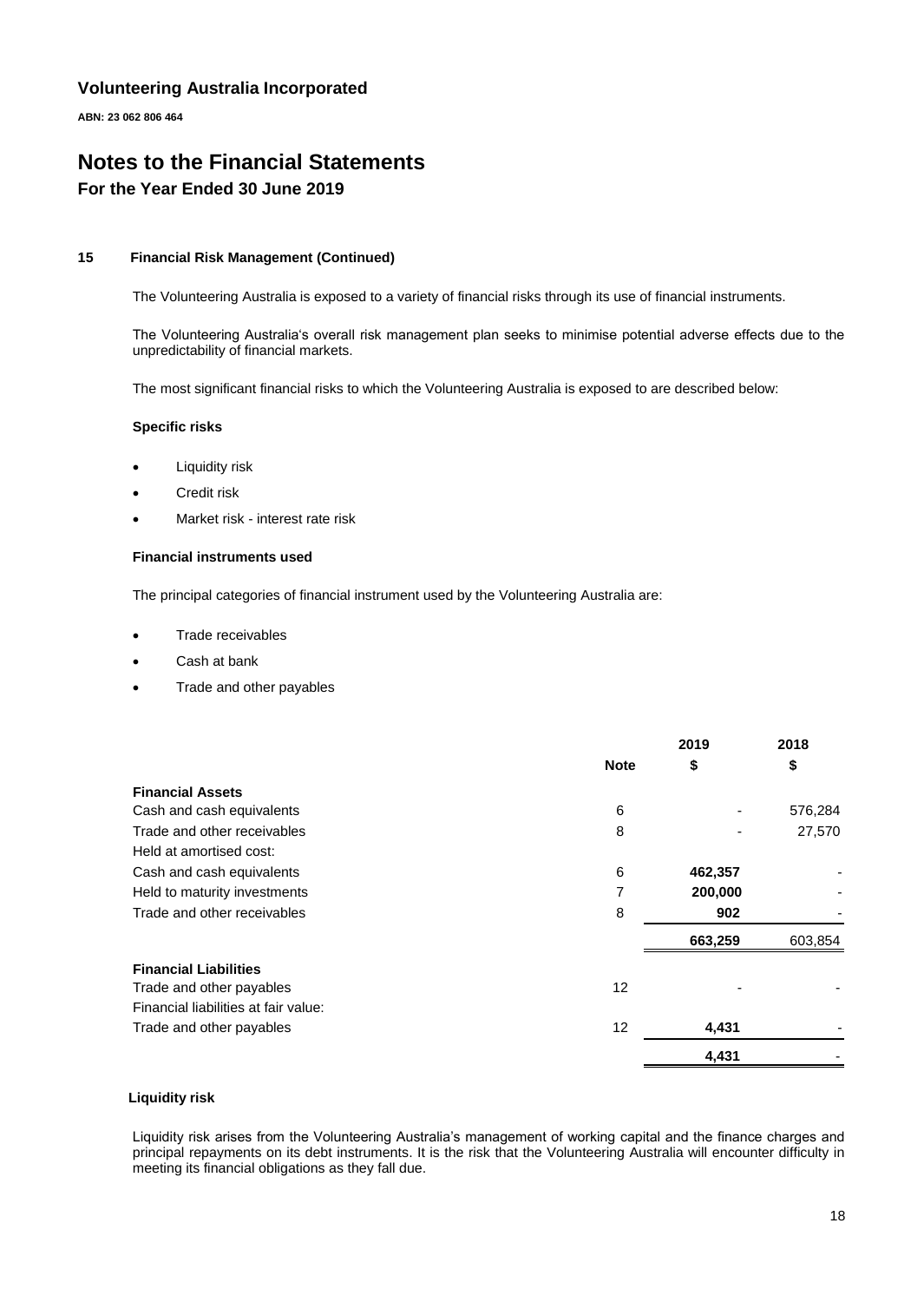**ABN: 23 062 806 464**

## **Notes to the Financial Statements For the Year Ended 30 June 2019**

#### **15 Financial Risk Management (Continued)**

The Volunteering Australia is exposed to a variety of financial risks through its use of financial instruments.

The Volunteering Australia's overall risk management plan seeks to minimise potential adverse effects due to the unpredictability of financial markets.

The most significant financial risks to which the Volunteering Australia is exposed to are described below:

#### **Specific risks**

- **Liquidity risk**
- Credit risk
- Market risk interest rate risk

#### **Financial instruments used**

The principal categories of financial instrument used by the Volunteering Australia are:

- Trade receivables
- Cash at bank
- Trade and other payables

|                                      |             | 2019    | 2018    |
|--------------------------------------|-------------|---------|---------|
|                                      | <b>Note</b> | \$      | \$      |
| <b>Financial Assets</b>              |             |         |         |
| Cash and cash equivalents            | 6           |         | 576,284 |
| Trade and other receivables          | 8           |         | 27,570  |
| Held at amortised cost:              |             |         |         |
| Cash and cash equivalents            | 6           | 462,357 |         |
| Held to maturity investments         |             | 200,000 |         |
| Trade and other receivables          | 8           | 902     |         |
|                                      |             | 663,259 | 603,854 |
| <b>Financial Liabilities</b>         |             |         |         |
| Trade and other payables             | 12          |         |         |
| Financial liabilities at fair value: |             |         |         |
| Trade and other payables             | 12          | 4,431   |         |
|                                      |             | 4,431   |         |
|                                      |             |         |         |

#### **Liquidity risk**

Liquidity risk arises from the Volunteering Australia's management of working capital and the finance charges and principal repayments on its debt instruments. It is the risk that the Volunteering Australia will encounter difficulty in meeting its financial obligations as they fall due.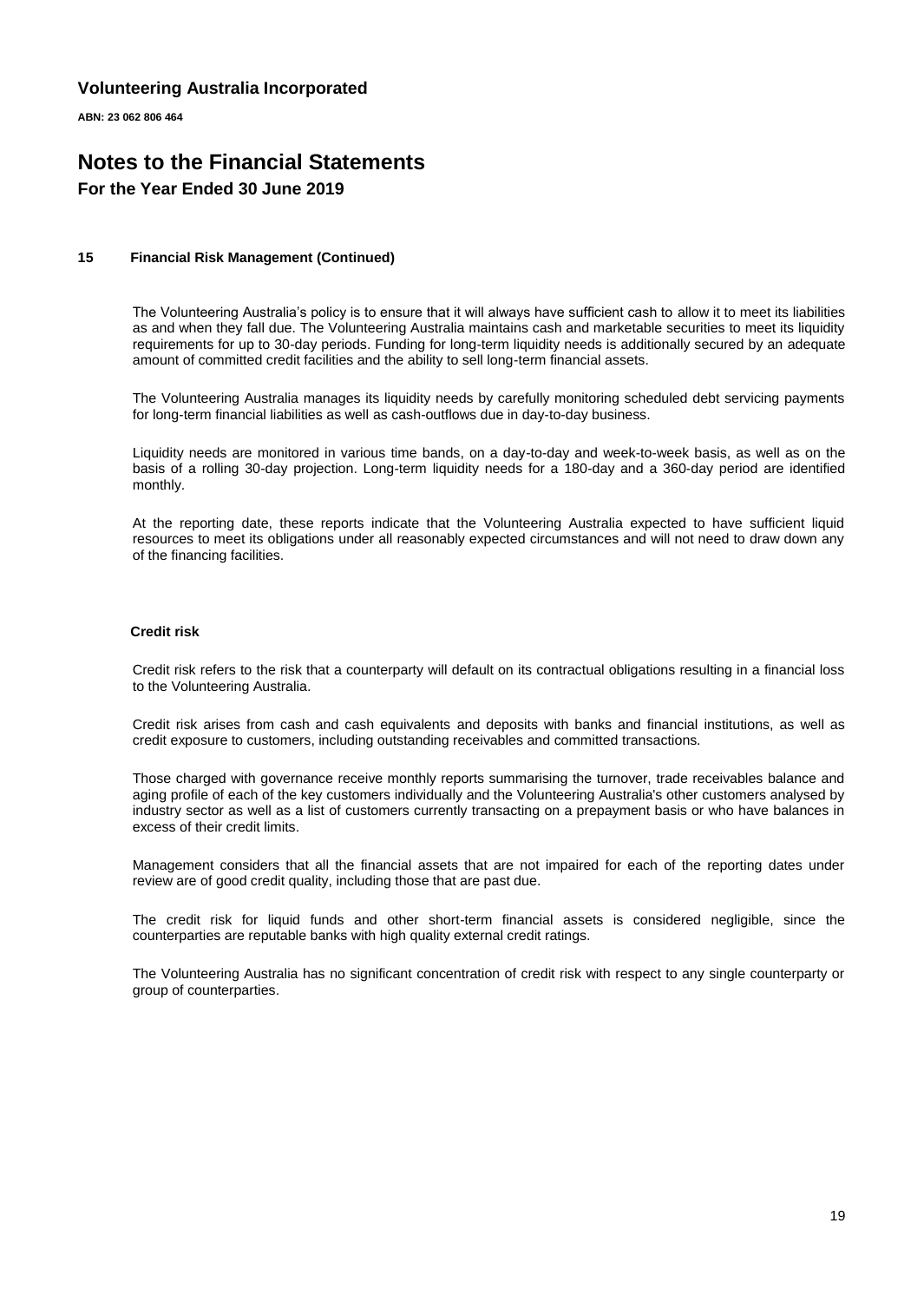**ABN: 23 062 806 464**

### **Notes to the Financial Statements For the Year Ended 30 June 2019**

#### **15 Financial Risk Management (Continued)**

The Volunteering Australia's policy is to ensure that it will always have sufficient cash to allow it to meet its liabilities as and when they fall due. The Volunteering Australia maintains cash and marketable securities to meet its liquidity requirements for up to 30-day periods. Funding for long-term liquidity needs is additionally secured by an adequate amount of committed credit facilities and the ability to sell long-term financial assets.

The Volunteering Australia manages its liquidity needs by carefully monitoring scheduled debt servicing payments for long-term financial liabilities as well as cash-outflows due in day-to-day business.

Liquidity needs are monitored in various time bands, on a day-to-day and week-to-week basis, as well as on the basis of a rolling 30-day projection. Long-term liquidity needs for a 180-day and a 360-day period are identified monthly.

At the reporting date, these reports indicate that the Volunteering Australia expected to have sufficient liquid resources to meet its obligations under all reasonably expected circumstances and will not need to draw down any of the financing facilities.

#### **Credit risk**

Credit risk refers to the risk that a counterparty will default on its contractual obligations resulting in a financial loss to the Volunteering Australia.

Credit risk arises from cash and cash equivalents and deposits with banks and financial institutions, as well as credit exposure to customers, including outstanding receivables and committed transactions.

Those charged with governance receive monthly reports summarising the turnover, trade receivables balance and aging profile of each of the key customers individually and the Volunteering Australia's other customers analysed by industry sector as well as a list of customers currently transacting on a prepayment basis or who have balances in excess of their credit limits.

Management considers that all the financial assets that are not impaired for each of the reporting dates under review are of good credit quality, including those that are past due.

The credit risk for liquid funds and other short-term financial assets is considered negligible, since the counterparties are reputable banks with high quality external credit ratings.

The Volunteering Australia has no significant concentration of credit risk with respect to any single counterparty or group of counterparties.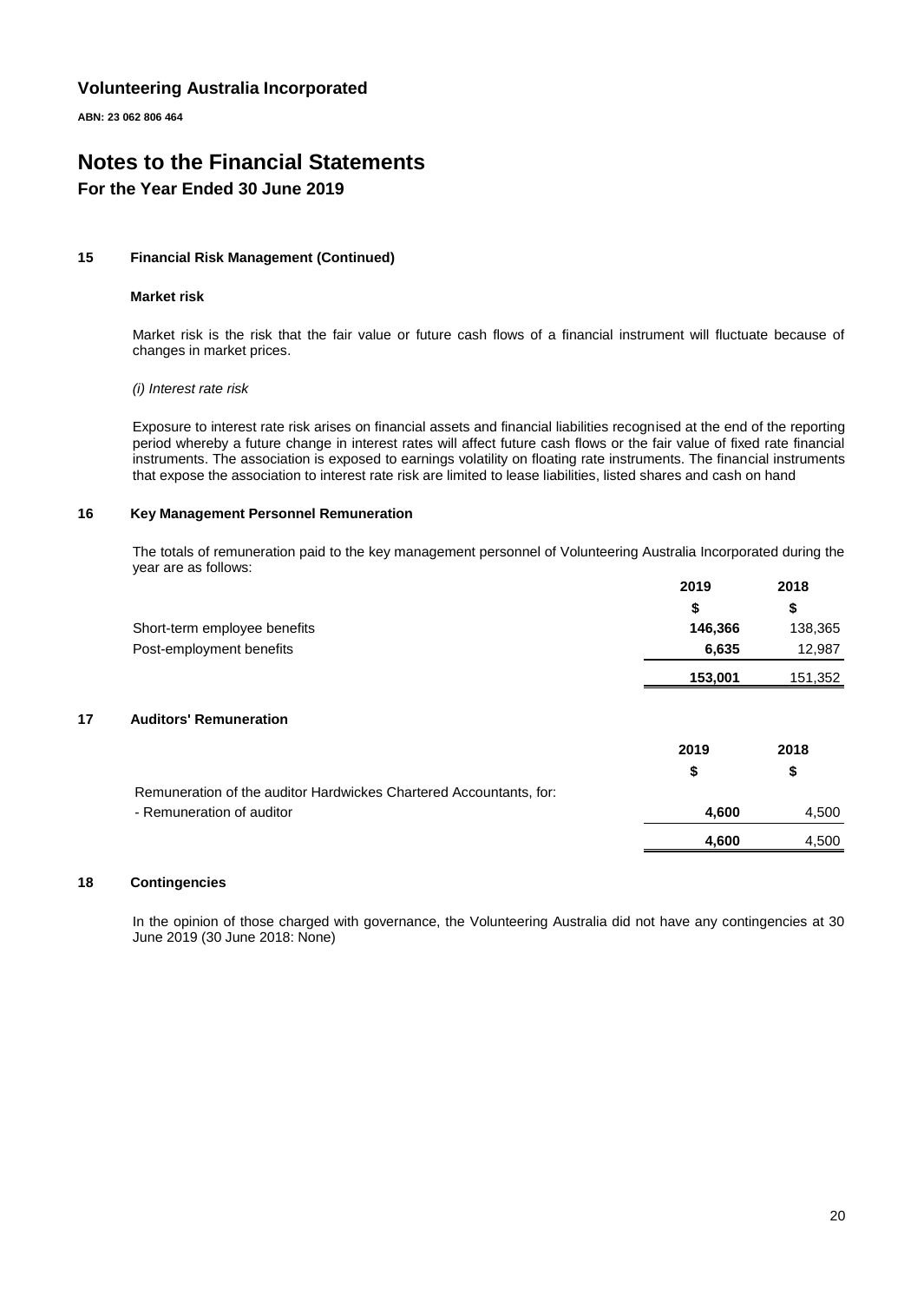**ABN: 23 062 806 464**

# **Notes to the Financial Statements**

# **For the Year Ended 30 June 2019**

#### **15 Financial Risk Management (Continued)**

#### **Market risk**

Market risk is the risk that the fair value or future cash flows of a financial instrument will fluctuate because of changes in market prices.

#### *(i) Interest rate risk*

Exposure to interest rate risk arises on financial assets and financial liabilities recognised at the end of the reporting period whereby a future change in interest rates will affect future cash flows or the fair value of fixed rate financial instruments. The association is exposed to earnings volatility on floating rate instruments. The financial instruments that expose the association to interest rate risk are limited to lease liabilities, listed shares and cash on hand

#### **16 Key Management Personnel Remuneration**

The totals of remuneration paid to the key management personnel of Volunteering Australia Incorporated during the year are as follows:

|                                                                    | 2019    | 2018    |
|--------------------------------------------------------------------|---------|---------|
|                                                                    | \$      | \$      |
| Short-term employee benefits                                       | 146,366 | 138,365 |
| Post-employment benefits                                           | 6,635   | 12,987  |
|                                                                    | 153,001 | 151,352 |
| <b>Auditors' Remuneration</b>                                      |         |         |
|                                                                    | 2019    | 2018    |
|                                                                    | \$      | \$      |
| Remuneration of the auditor Hardwickes Chartered Accountants, for: |         |         |
| - Remuneration of auditor                                          | 4,600   | 4,500   |
|                                                                    | 4,600   | 4,500   |
|                                                                    |         |         |

#### **18 Contingencies**

In the opinion of those charged with governance, the Volunteering Australia did not have any contingencies at 30 June 2019 (30 June 2018: None)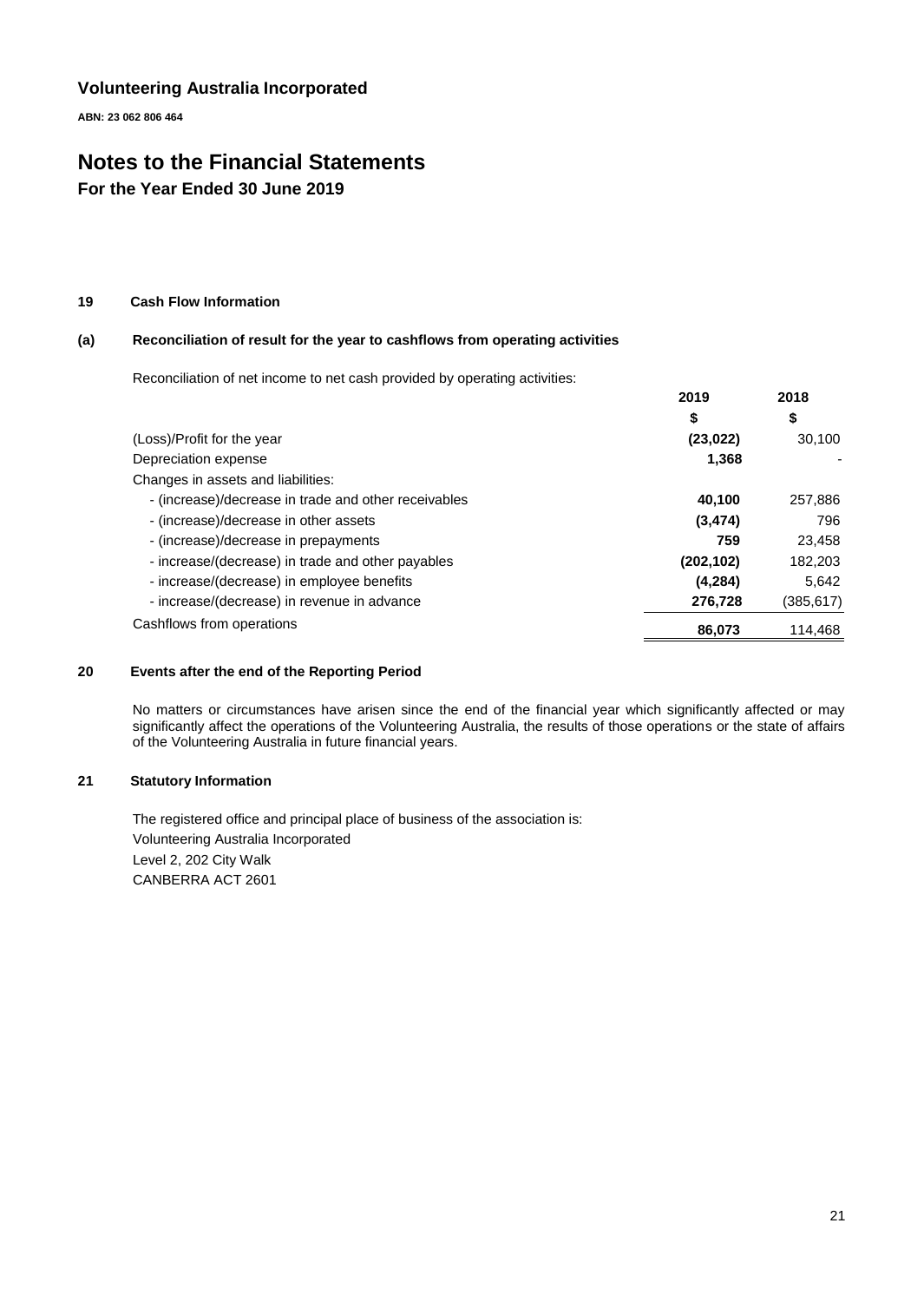**ABN: 23 062 806 464**

# **Notes to the Financial Statements**

**For the Year Ended 30 June 2019**

#### **19 Cash Flow Information**

#### **(a) Reconciliation of result for the year to cashflows from operating activities**

Reconciliation of net income to net cash provided by operating activities:

|                                                      | 2019<br>\$ | 2018<br>\$ |
|------------------------------------------------------|------------|------------|
|                                                      |            |            |
| (Loss)/Profit for the year                           | (23, 022)  | 30,100     |
| Depreciation expense                                 | 1,368      |            |
| Changes in assets and liabilities:                   |            |            |
| - (increase)/decrease in trade and other receivables | 40.100     | 257,886    |
| - (increase)/decrease in other assets                | (3, 474)   | 796        |
| - (increase)/decrease in prepayments                 | 759        | 23,458     |
| - increase/(decrease) in trade and other payables    | (202, 102) | 182,203    |
| - increase/(decrease) in employee benefits           | (4,284)    | 5,642      |
| - increase/(decrease) in revenue in advance          | 276,728    | (385, 617) |
| Cashflows from operations                            | 86,073     | 114,468    |

#### **20 Events after the end of the Reporting Period**

No matters or circumstances have arisen since the end of the financial year which significantly affected or may significantly affect the operations of the Volunteering Australia, the results of those operations or the state of affairs of the Volunteering Australia in future financial years.

#### **21 Statutory Information**

The registered office and principal place of business of the association is: Volunteering Australia Incorporated Level 2, 202 City Walk CANBERRA ACT 2601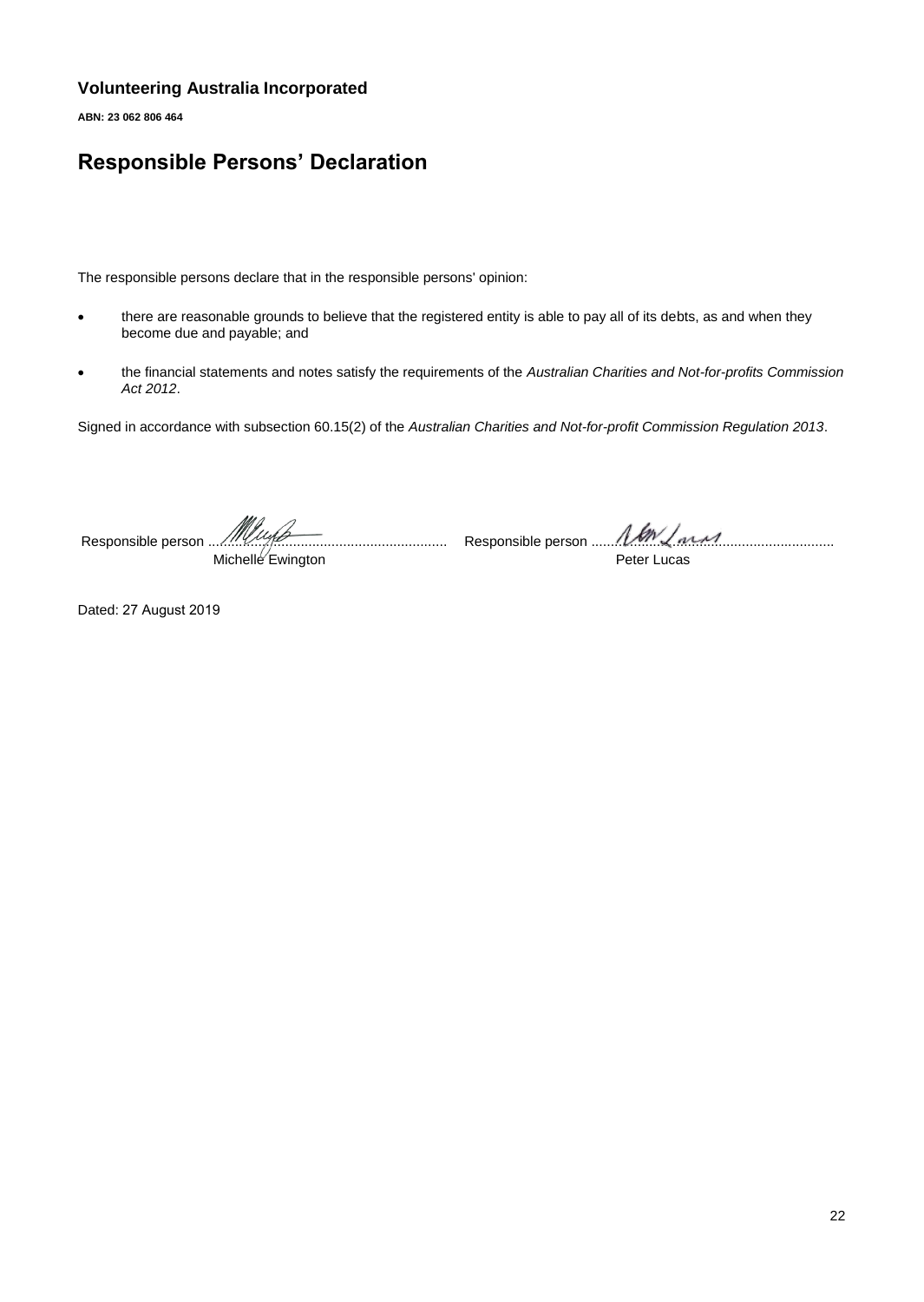**ABN: 23 062 806 464**

# **Responsible Persons' Declaration**

The responsible persons declare that in the responsible persons' opinion:

- there are reasonable grounds to believe that the registered entity is able to pay all of its debts, as and when they become due and payable; and
- the financial statements and notes satisfy the requirements of the *Australian Charities and Not-for-profits Commission Act 2012*.

Signed in accordance with subsection 60.15(2) of the *Australian Charities and Not-for-profit Commission Regulation 2013*.

Responsible person ..............................................................

Michelle Ewington

Responsible person ...............................................................

Peter Lucas

Dated: 27 August 2019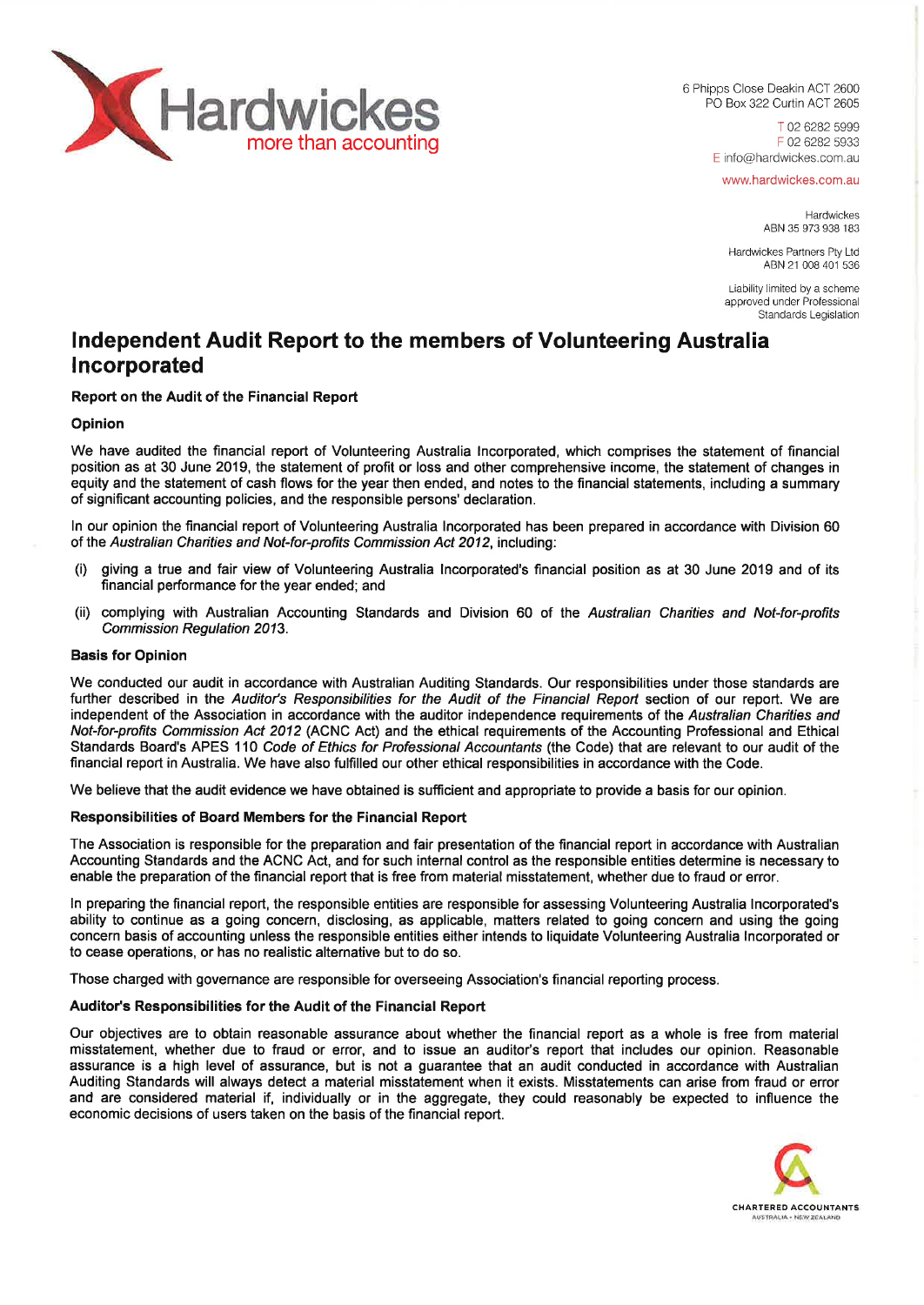

6 Phipps Close Deakin ACT 2600 PO Box 322 Curtin ACT 2605

> T 02 6282 5999 F 02 6282 5933 E info@hardwickes.com.au

www.hardwickes.com.au

Hardwickes ABN 35 973 938 183

Hardwickes Partners Pty Ltd ABN 21 008 401 536

Liability limited by a scheme approved under Professional Standards Legislation

# **Independent Audit Report to the members of Volunteering Australia Incorporated**

#### **Report on the Audit of the Financial Report**

#### **Opinion**

We have audited the financial report of Volunteering Australia Incorporated, which comprises the statement of financial position as at 30 June 2019, the statement of profit or loss and other comprehensive income, the statement of changes in equity and the statement of cash flows for the year then ended, and notes to the financial statements, including a summary of significant accounting policies, and the responsible persons' declaration.

In our opinion the financial report of Volunteering Australia Incorporated has been prepared in accordance with Division 60 of the *Australian Charities and Not-for-profits Commission Act 2012,* including:

- (I) giving a true and fair view of Volunteering Australia Incorporated's financial position as at 30 June 2019 and of its financial performance for the year ended; and
- (ii) complying with Australian Accounting Standards and Division 60 of the *Australian Charities and Not-for-profits Commission Regulation 2013.*

#### **Basis for Opinion**

We conducted our audit in accordance with Australian Auditing Standards. Our responsibilities under those standards are further described in the *Auditor's Responsibilities for the Audit of the Financial Report* section of our report. We are independent of the Association in accordance with the auditor independence requirements of the *Australian Charities and Not-for-profits Commission Act 2012* (ACNC Act) and the ethical requirements of the Accounting Professional and Ethical Standards Board's APES 110 *Code of Ethics for Professional Accountants* (the Code) that are relevant to our audit of the financial report in Australia. We have also fulfilled our other ethical responsibilities in accordance with the Code.

We believe that the audit evidence we have obtained is sufficient and appropriate to provide a basis for our opinion.

#### **Responsibilities of Board Members for the Financial Report**

The Association is responsible for the preparation and fair presentation of the financial report in accordance with Australian Accounting Standards and the ACNC Act, and for such internal control as the responsible entities determine is necessary to enable the preparation of the financial report that is free from material misstatement, whether due to fraud or error.

In preparing the financial report, the responsible entities are responsible for assessing Volunteering Australia Incorporated's ability to continue as a going concern, disclosing, as applicable, matters related to going concern and using the going concern basis of accounting unless the responsible entities either intends to liquidate Volunteering Australia Incorporated or to cease operations, or has no realistic alternative but to do so.

Those charged with governance are responsible for overseeing Association's financial reporting process.

#### **Auditor's Responsibilities for the Audit of the Financial Report**

Our objectives are to obtain reasonable assurance about whether the financial report as a whole is free from material misstatement, whether due to fraud or error, and to issue an auditor's report that includes our opinion. Reasonable assurance is a high level of assurance, but is not a guarantee that an audit conducted in accordance with Australian Auditing Standards will always detect a material misstatement when it exists. Misstatements can arise from fraud or error and are considered material if, individually or in the aggregate, they could reasonably be expected to influence the economic decisions of users taken on the basis of the financial report.